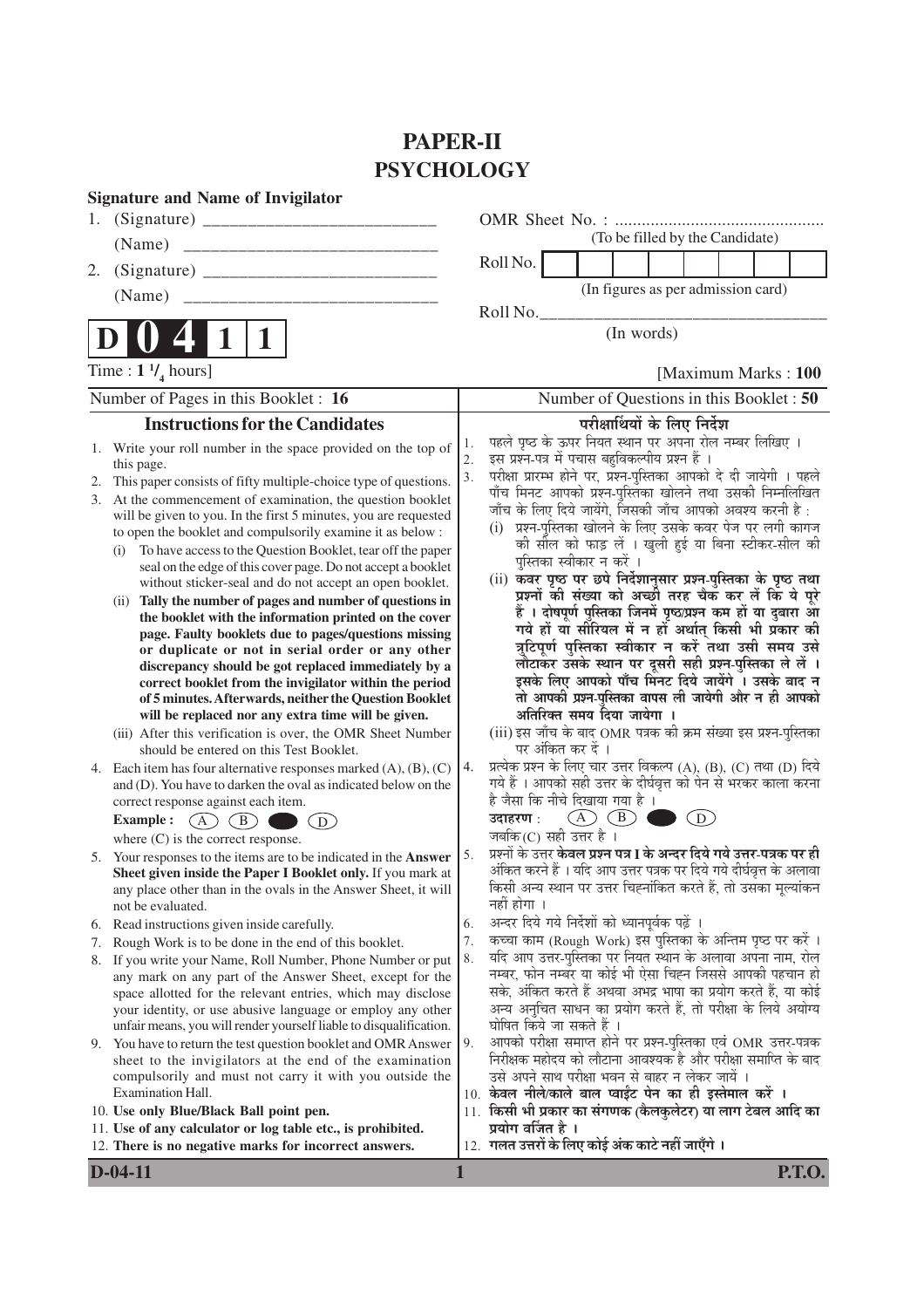## **PAPER-II PSYCHOLOGY**

|                | <b>Signature and Name of Invigilator</b>                                                                                                                                                                                                                                                                                                                                                                                                                                                                                                                                                                                                                                                                                                                                                                                                                                                                                                                                                                                                                                                                              |                |                                                                                                                                                                                                                                                                                                                                                                                                                                                                                                                                                                                                                                                                                                                                                                                                                                                                                                                                                                                                                                                                            |
|----------------|-----------------------------------------------------------------------------------------------------------------------------------------------------------------------------------------------------------------------------------------------------------------------------------------------------------------------------------------------------------------------------------------------------------------------------------------------------------------------------------------------------------------------------------------------------------------------------------------------------------------------------------------------------------------------------------------------------------------------------------------------------------------------------------------------------------------------------------------------------------------------------------------------------------------------------------------------------------------------------------------------------------------------------------------------------------------------------------------------------------------------|----------------|----------------------------------------------------------------------------------------------------------------------------------------------------------------------------------------------------------------------------------------------------------------------------------------------------------------------------------------------------------------------------------------------------------------------------------------------------------------------------------------------------------------------------------------------------------------------------------------------------------------------------------------------------------------------------------------------------------------------------------------------------------------------------------------------------------------------------------------------------------------------------------------------------------------------------------------------------------------------------------------------------------------------------------------------------------------------------|
|                |                                                                                                                                                                                                                                                                                                                                                                                                                                                                                                                                                                                                                                                                                                                                                                                                                                                                                                                                                                                                                                                                                                                       |                |                                                                                                                                                                                                                                                                                                                                                                                                                                                                                                                                                                                                                                                                                                                                                                                                                                                                                                                                                                                                                                                                            |
|                |                                                                                                                                                                                                                                                                                                                                                                                                                                                                                                                                                                                                                                                                                                                                                                                                                                                                                                                                                                                                                                                                                                                       |                | (To be filled by the Candidate)                                                                                                                                                                                                                                                                                                                                                                                                                                                                                                                                                                                                                                                                                                                                                                                                                                                                                                                                                                                                                                            |
| 2.             |                                                                                                                                                                                                                                                                                                                                                                                                                                                                                                                                                                                                                                                                                                                                                                                                                                                                                                                                                                                                                                                                                                                       |                | Roll No.                                                                                                                                                                                                                                                                                                                                                                                                                                                                                                                                                                                                                                                                                                                                                                                                                                                                                                                                                                                                                                                                   |
|                | (Name)<br>_____________________________                                                                                                                                                                                                                                                                                                                                                                                                                                                                                                                                                                                                                                                                                                                                                                                                                                                                                                                                                                                                                                                                               |                | (In figures as per admission card)                                                                                                                                                                                                                                                                                                                                                                                                                                                                                                                                                                                                                                                                                                                                                                                                                                                                                                                                                                                                                                         |
|                |                                                                                                                                                                                                                                                                                                                                                                                                                                                                                                                                                                                                                                                                                                                                                                                                                                                                                                                                                                                                                                                                                                                       |                | Roll No.                                                                                                                                                                                                                                                                                                                                                                                                                                                                                                                                                                                                                                                                                                                                                                                                                                                                                                                                                                                                                                                                   |
|                | 1                                                                                                                                                                                                                                                                                                                                                                                                                                                                                                                                                                                                                                                                                                                                                                                                                                                                                                                                                                                                                                                                                                                     |                | (In words)                                                                                                                                                                                                                                                                                                                                                                                                                                                                                                                                                                                                                                                                                                                                                                                                                                                                                                                                                                                                                                                                 |
|                | Time : $1 \frac{1}{4}$ hours]                                                                                                                                                                                                                                                                                                                                                                                                                                                                                                                                                                                                                                                                                                                                                                                                                                                                                                                                                                                                                                                                                         |                | [Maximum Marks: 100]                                                                                                                                                                                                                                                                                                                                                                                                                                                                                                                                                                                                                                                                                                                                                                                                                                                                                                                                                                                                                                                       |
|                | Number of Pages in this Booklet : 16                                                                                                                                                                                                                                                                                                                                                                                                                                                                                                                                                                                                                                                                                                                                                                                                                                                                                                                                                                                                                                                                                  |                | Number of Questions in this Booklet: 50                                                                                                                                                                                                                                                                                                                                                                                                                                                                                                                                                                                                                                                                                                                                                                                                                                                                                                                                                                                                                                    |
|                | <b>Instructions for the Candidates</b>                                                                                                                                                                                                                                                                                                                                                                                                                                                                                                                                                                                                                                                                                                                                                                                                                                                                                                                                                                                                                                                                                |                | परीक्षार्थियों के लिए निर्देश                                                                                                                                                                                                                                                                                                                                                                                                                                                                                                                                                                                                                                                                                                                                                                                                                                                                                                                                                                                                                                              |
| 1.<br>2.<br>3. | Write your roll number in the space provided on the top of<br>this page.<br>This paper consists of fifty multiple-choice type of questions.<br>At the commencement of examination, the question booklet<br>will be given to you. In the first 5 minutes, you are requested<br>to open the booklet and compulsorily examine it as below :<br>To have access to the Question Booklet, tear off the paper<br>(1)<br>seal on the edge of this cover page. Do not accept a booklet<br>without sticker-seal and do not accept an open booklet.<br>(ii) Tally the number of pages and number of questions in<br>the booklet with the information printed on the cover<br>page. Faulty booklets due to pages/questions missing<br>or duplicate or not in serial order or any other<br>discrepancy should be got replaced immediately by a<br>correct booklet from the invigilator within the period<br>of 5 minutes. Afterwards, neither the Question Booklet<br>will be replaced nor any extra time will be given.<br>(iii) After this verification is over, the OMR Sheet Number<br>should be entered on this Test Booklet. | 1.<br>2.<br>3. | पहले पृष्ठ के ऊपर नियत स्थान पर अपना रोल नम्बर लिखिए ।<br>इस प्रश्न-पत्र में पचास बहुविकल्पीय प्रश्न हैं ।<br>परीक्षा प्रारम्भ होने पर, प्रश्न-पुस्तिका आपको दे दी जायेगी । पहले<br>पाँच मिनट आपको प्रश्न-पुस्तिका खोलने तथा उसकी निम्नलिखित<br>जाँच के लिए दिये जायेंगे, जिसकी जाँच आपको अवश्य करनी है :<br>प्रश्न-पुस्तिका खोलने के लिए उसके कवर पेज पर लगी कागज<br>(i)<br>की सील को फाड़ लें । खुली हुई या बिना स्टीकर-सील की<br>पुस्तिका स्वीकार न करें ।<br>(ii) कवर पृष्ठ पर छपे निर्देशानुसार प्रश्न-पुस्तिका के पृष्ठ तथा<br>प्रश्नों की संख्या को अच्छी तरह चैक कर लें कि ये पूरे<br>हैं । दोषपूर्ण पुस्तिका जिनमें पृष्ठ/प्रश्न कम हों या दुबारा आ<br>गये हों यो सीरियल में न हों अर्थात् किसी भी प्रकार की<br>त्रुटिपूर्ण पुस्तिका स्वीकार न करें तथा उसी समय उसे<br>लौटाकर उसके स्थान पर दूसरी सही प्रश्न-पुस्तिका ले लें ।<br>इसके लिए आपको पाँच मिनट दिये जायेंगे । उसके बाद न<br>तो आपकी प्रश्न-पुस्तिका वापस ली जायेगी और न ही आपको<br>अतिरिक्त समय दिया जायेगा ।<br>(iii) इस जाँच के बाद OMR पत्रक की क्रम संख्या इस प्रश्न-पुस्तिका<br>पर अंकित कर दें । |
|                | 4. Each item has four alternative responses marked $(A)$ , $(B)$ , $(C)$<br>and (D). You have to darken the oval as indicated below on the<br>correct response against each item.<br>$\overline{A}$ $\overline{C}$<br><b>Example :</b><br>(B)<br>$\left( \overline{\mathbf{D}}\right)$<br>where $(C)$ is the correct response.                                                                                                                                                                                                                                                                                                                                                                                                                                                                                                                                                                                                                                                                                                                                                                                        | 4.             | प्रत्येक प्रश्न के लिए चार उत्तर विकल्प (A), (B), (C) तथा (D) दिये<br>गये हैं । आपको सही उत्तर के दीर्घवृत्त को पेन से भरकर काला करना<br>है जैसा कि नीचे दिखाया गया है ।<br>$(A)$ $(B)$<br>(D)<br>उदाहरण :<br>जबकि(C) सही उत्तर है ।                                                                                                                                                                                                                                                                                                                                                                                                                                                                                                                                                                                                                                                                                                                                                                                                                                       |
|                | 5. Your responses to the items are to be indicated in the Answer<br>Sheet given inside the Paper I Booklet only. If you mark at<br>any place other than in the ovals in the Answer Sheet, it will<br>not be evaluated.                                                                                                                                                                                                                                                                                                                                                                                                                                                                                                                                                                                                                                                                                                                                                                                                                                                                                                | 5.             | प्रश्नों के उत्तर <b>केवल प्रश्न पत्र I के अन्दर दिये गये उत्तर-पत्रक पर ही</b><br>अंकित करने हैं । यदि आप उत्तर पत्रक पर दिये गये दीर्घवृत्त के अलावा<br>किसी अन्य स्थान पर उत्तर चिह्नांकित करते हैं, तो उसका मूल्यांकन<br>नहीं होगा ।<br>अन्दर दिये गये निर्देशों को ध्यानपूर्वक पढ़ें ।                                                                                                                                                                                                                                                                                                                                                                                                                                                                                                                                                                                                                                                                                                                                                                                |
| 6.<br>7.       | Read instructions given inside carefully.<br>Rough Work is to be done in the end of this booklet.                                                                                                                                                                                                                                                                                                                                                                                                                                                                                                                                                                                                                                                                                                                                                                                                                                                                                                                                                                                                                     | 6.<br>7.       | कच्चा काम (Rough Work) इस पुस्तिका के अन्तिम पृष्ठ पर करें ।                                                                                                                                                                                                                                                                                                                                                                                                                                                                                                                                                                                                                                                                                                                                                                                                                                                                                                                                                                                                               |
| 8.             | If you write your Name, Roll Number, Phone Number or put                                                                                                                                                                                                                                                                                                                                                                                                                                                                                                                                                                                                                                                                                                                                                                                                                                                                                                                                                                                                                                                              | 8.             | यदि आप उत्तर-पुस्तिका पर नियत स्थान के अलावा अपना नाम, रोल                                                                                                                                                                                                                                                                                                                                                                                                                                                                                                                                                                                                                                                                                                                                                                                                                                                                                                                                                                                                                 |
|                | any mark on any part of the Answer Sheet, except for the<br>space allotted for the relevant entries, which may disclose<br>your identity, or use abusive language or employ any other<br>unfair means, you will render yourself liable to disqualification.<br>9. You have to return the test question booklet and OMR Answer<br>sheet to the invigilators at the end of the examination<br>compulsorily and must not carry it with you outside the<br>Examination Hall.                                                                                                                                                                                                                                                                                                                                                                                                                                                                                                                                                                                                                                              | 9.             | नम्बर, फोन नम्बर या कोई भी ऐसा चिह्न जिससे आपकी पहचान हो<br>सके, अंकित करते हैं अथवा अभद्र भाषा का प्रयोग करते हैं, या कोई<br>अन्य अनुचित साधन का प्रयोग करते हैं, तो परीक्षा के लिये अयोग्य<br>घोषित किये जा सकते हैं ।<br>आपको परीक्षा समाप्त होने पर प्रश्न-पुस्तिका एवं OMR उत्तर-पत्रक<br>निरीक्षक महोदय को लौटाना आवश्यक है और परीक्षा समाप्ति के बाद<br>उसे अपने साथ परीक्षा भवन से बाहर न लेकर जायें ।<br>10. केवल नीले/काले बाल प्वाईंट पेन का ही इस्तेमाल करें ।                                                                                                                                                                                                                                                                                                                                                                                                                                                                                                                                                                                                 |
|                | 10. Use only Blue/Black Ball point pen.                                                                                                                                                                                                                                                                                                                                                                                                                                                                                                                                                                                                                                                                                                                                                                                                                                                                                                                                                                                                                                                                               |                | 11. किसी भी प्रकार का संगणक (कैलकुलेटर) या लाग टेबल आदि का                                                                                                                                                                                                                                                                                                                                                                                                                                                                                                                                                                                                                                                                                                                                                                                                                                                                                                                                                                                                                 |
|                | 11. Use of any calculator or log table etc., is prohibited.<br>12. There is no negative marks for incorrect answers.                                                                                                                                                                                                                                                                                                                                                                                                                                                                                                                                                                                                                                                                                                                                                                                                                                                                                                                                                                                                  |                | प्रयोग वर्जित है ।<br>12. गलत उत्तरों के लिए कोई अंक काटे नहीं जाएँगे ।                                                                                                                                                                                                                                                                                                                                                                                                                                                                                                                                                                                                                                                                                                                                                                                                                                                                                                                                                                                                    |

**D-04-11 1 P.T.O.**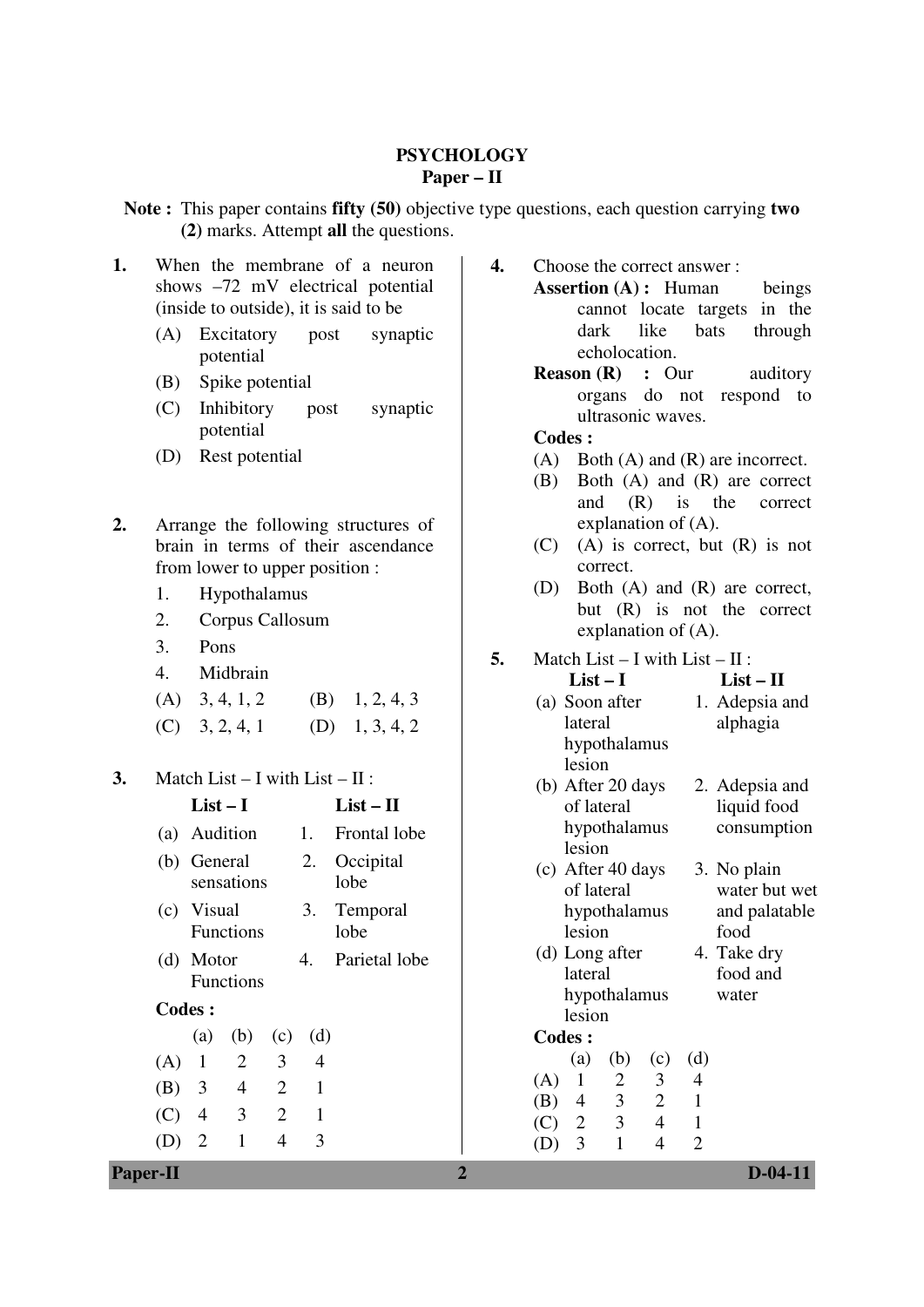#### **PSYCHOLOGY Paper – II**

**Note :** This paper contains **fifty (50)** objective type questions, each question carrying **two (2)** marks. Attempt **all** the questions.

- **1.** When the membrane of a neuron shows –72 mV electrical potential (inside to outside), it is said to be
	- (A) Excitatory post synaptic potential
	- (B) Spike potential
	- (C) Inhibitory post synaptic potential
	- (D) Rest potential
- **2.** Arrange the following structures of brain in terms of their ascendance from lower to upper position :
	- 1. Hypothalamus
	- 2. Corpus Callosum
	- 3. Pons
	- 4. Midbrain
	- (A)  $3, 4, 1, 2$  (B)  $1, 2, 4, 3$  $(C)$  3, 2, 4, 1 (D) 1, 3, 4, 2
- **3.** Match List I with List II :

|               | $List-I$          |                  |                |                | $List-II$           |
|---------------|-------------------|------------------|----------------|----------------|---------------------|
|               | (a) Audition      |                  |                | 1.             | <b>Frontal lobe</b> |
|               | (b) General       | sensations       |                | 2.             | Occipital<br>lobe   |
|               | (c) Visual        | <b>Functions</b> |                | 3.             | Temporal<br>lobe    |
|               | (d) Motor         | <b>Functions</b> |                | 4.             | Parietal lobe       |
| <b>Codes:</b> |                   |                  |                |                |                     |
|               | (a)               | (b)              | (c)            | (d)            |                     |
|               | (A) 1 2           |                  | 3              | $\overline{4}$ |                     |
|               | (B) $3 \t 4 \t 2$ |                  |                | 1              |                     |
|               | $(C)$ 4 3         |                  | $\overline{2}$ | $\mathbf{1}$   |                     |
|               | $\overline{2}$    | 1                | 4              | 3              |                     |

- **4.** Choose the correct answer :
	- Assertion (A) : Human beings cannot locate targets in the dark like bats through echolocation.
		- **Reason (R) : Our auditory** organs do not respond to ultrasonic waves.

### **Codes :**

- (A) Both (A) and (R) are incorrect.
- (B) Both (A) and (R) are correct and (R) is the correct explanation of (A).
- (C) (A) is correct, but (R) is not correct.
- (D) Both (A) and (R) are correct, but (R) is not the correct explanation of (A).
- **5.** Match List I with List II :

| 4.<br>MHUDIAIII                                              | $List-I$                                                                                         | $List - II$                  |
|--------------------------------------------------------------|--------------------------------------------------------------------------------------------------|------------------------------|
| 3, 4, 1, 2<br>(A)<br>(B)<br>1, 2, 4, 3                       | (a) Soon after                                                                                   | 1. Adepsia and               |
| (C)<br>(D)<br>3, 2, 4, 1<br>1, 3, 4, 2                       | lateral                                                                                          | alphagia                     |
| 3.<br>Match List $- I$ with List $- II$ :                    | hypothalamus<br>lesion<br>(b) After 20 days                                                      | 2. Adepsia and               |
| $List - II$<br>$List-I$                                      | of lateral                                                                                       | liquid food                  |
| Audition<br>Frontal lobe<br>1.<br>(a)                        | hypothalamus                                                                                     | consumption                  |
| 2.<br>Occipital<br>General<br>(b)<br>sensations<br>lobe      | lesion<br>$(c)$ After 40 days<br>of lateral                                                      | 3. No plain<br>water but wet |
| 3.<br>Visual<br>Temporal<br>(c)<br><b>Functions</b><br>lobe  | hypothalamus<br>lesion                                                                           | and palatable<br>food        |
| Parietal lobe<br>4.<br>Motor<br>(d)<br>Functions             | (d) Long after<br>lateral                                                                        | 4. Take dry<br>food and      |
| <b>Codes:</b>                                                | hypothalamus<br>lesion                                                                           | water                        |
| (d)<br>(a)<br>(b)<br>(c)                                     | <b>Codes:</b>                                                                                    |                              |
| $\overline{2}$<br>3<br>1<br>$\overline{4}$<br>(A)            | (d)<br>(a)<br>(b)<br>(c)                                                                         |                              |
| $\overline{2}$<br>3<br>$\overline{4}$<br>$\mathbf{1}$<br>(B) | $\overline{2}$<br>$\mathbf{1}$<br>3<br>$\overline{4}$<br>(A)<br>$\mathfrak{Z}$<br>$\overline{2}$ |                              |
| 3<br>$\overline{2}$<br>$\mathbf{1}$<br>(C)<br>$\overline{4}$ | $\mathbf{1}$<br>(B)<br>4<br>3<br>$\overline{4}$<br>$\mathbf{1}$<br>(C)<br>$\overline{2}$         |                              |
| 3<br>$\mathbf{1}$<br>(D)<br>$\overline{2}$<br>$\overline{4}$ | $\mathbf{1}$<br>3<br>$\overline{2}$<br>$\overline{4}$<br>(D)                                     |                              |
| <b>Paper-II</b>                                              | $\overline{2}$                                                                                   | $D-04-11$                    |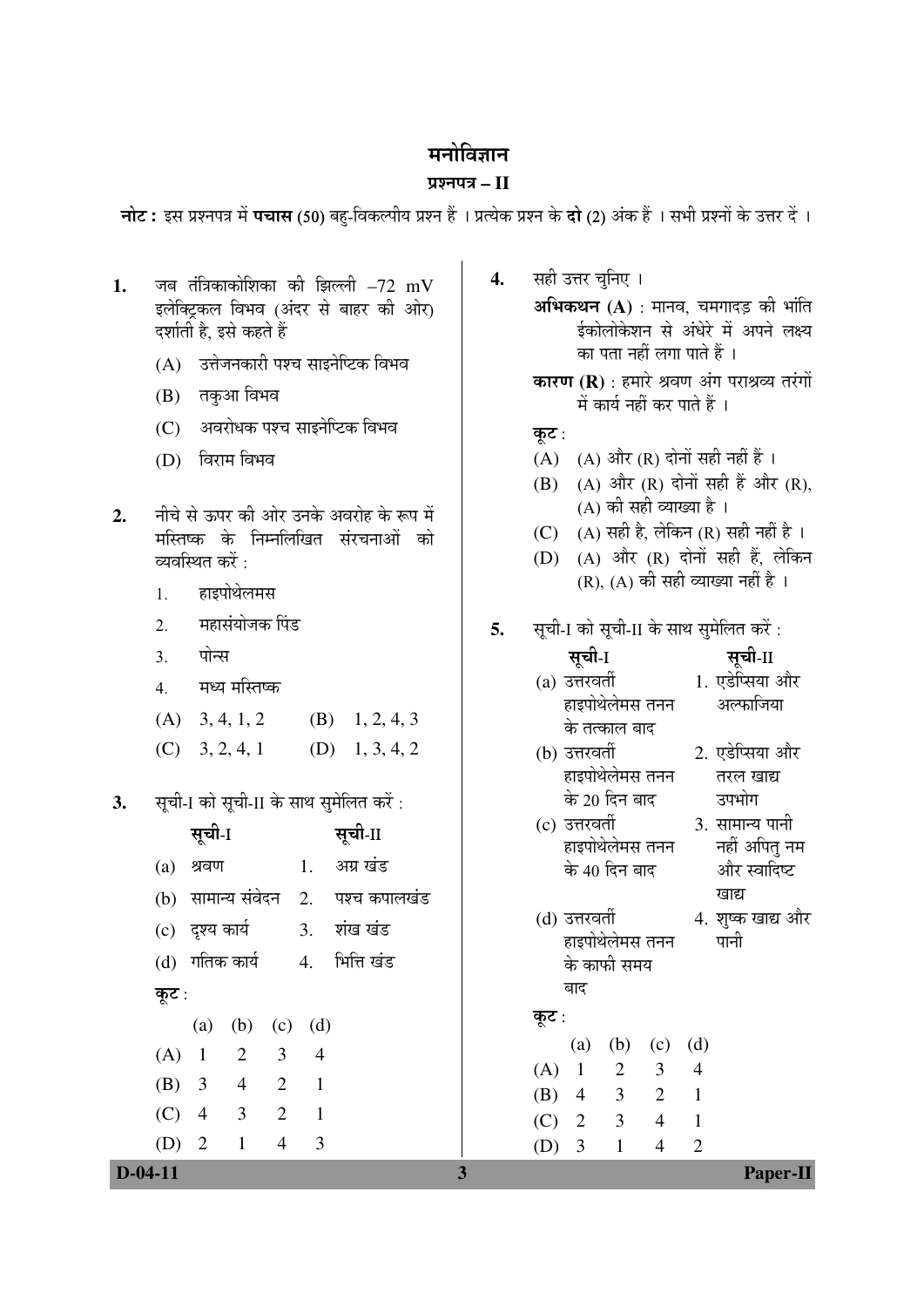# मनोविज्ञान

## ¯ÖÏ¿®Ö¯Ö¡Ö **– II**

**नोट :** इस प्रश्नपत्र में **पचास** (50) बहु-विकल्पीय प्रश्न हैं । प्रत्येक प्रश्न के **दो** (2) अंक हैं । सभी प्रश्नों के उत्तर दें ।

| जब तंत्रिकाकोशिका की झिल्ली $-72$ mV<br>1.<br>इलेक्ट्रिकल विभव (अंदर से बाहर की ओर)<br>दर्शाती है, इसे कहते हैं<br>(A) उत्तेजनकारी पश्च साइनेप्टिक विभव<br>तकुआ विभव<br>(B)<br>(C) अवरोधक पश्च साइनेप्टिक विभव<br>विराम विभव<br>(D)<br>नीचे से ऊपर की ओर उनके अवरोह के रूप में<br>2.<br>मस्तिष्क के निम्नलिखित संरचनाओं को<br>व्यवस्थित करें :<br>हाइपोथेलमस<br>1. | सही उत्तर चुनिए ।<br>4.<br><b>अभिकथन (A)</b> : मानव, चमगादड़ की भांति<br>ईकोलोकेशन से अंधेरे में अपने लक्ष्य<br>का पता नहीं लगा पाते हैं ।<br>कारण (R) : हमारे श्रवण अंग पराश्रव्य तरंगों<br>में कार्य नहीं कर पाते हैं ।<br>कूट :<br>(A) (A) और (R) दोनों सही नहीं हैं ।<br>(A) और (R) दोनों सही हैं और (R),<br>(B)<br>(A) की सही व्याख्या है ।<br>(A) सही है, लेकिन (R) सही नहीं है ।<br>(C)<br>(A) और (R) दोनों सही हैं, लेकिन<br>(D)<br>(R), (A) की सही व्याख्या नहीं है । |
|--------------------------------------------------------------------------------------------------------------------------------------------------------------------------------------------------------------------------------------------------------------------------------------------------------------------------------------------------------------------|--------------------------------------------------------------------------------------------------------------------------------------------------------------------------------------------------------------------------------------------------------------------------------------------------------------------------------------------------------------------------------------------------------------------------------------------------------------------------------|
| महासंयोजक पिंड<br>2.<br>पोन्स<br>3 <sub>1</sub><br>मध्य मस्तिष्क<br>4.<br>(A) $3, 4, 1, 2$ (B) $1, 2, 4, 3$<br>$(C)$ 3, 2, 4, 1 $(D)$ 1, 3, 4, 2                                                                                                                                                                                                                   | सूची-I को सूची-II के साथ सुमेलित करें :<br>5.<br>सूची-II<br>सूची-I<br>(a) उत्तरवर्ती 1. एडेप्सिया और<br>अल्फाजिया<br>हाइपोथेलेमस तनन<br>के तत्काल बाद<br>2. एडेप्सिया और<br>(b) उत्तरवर्ती<br>हाइपोथेलेमस तनन<br>तरल खाद्य<br>उपभोग                                                                                                                                                                                                                                            |
| सूची-I को सूची-II के साथ सुमेलित करें :<br>3.<br>सूची-I<br>सूची-II<br>अग्र खंड<br>श्रवण<br>$\overline{1}$ .<br>(a)<br>(b) सामान्य संवेदन 2. पश्च कपालखंड<br>(c) दृश्य कार्य<br>3.<br>शंख खंड<br>(d) गतिक कार्य 4. भित्ति खंड<br>कूट :                                                                                                                              | के 20 दिन बाद<br>(c) उत्तरवर्ती<br>3. सामान्य पानी<br>नहीं अपितु नम<br>हाइपोथेलेमस तनन<br>और स्वादिष्ट<br>के 40 दिन बाद<br>खाद्य<br>(d) उत्तरवर्ती                  4. शुष्क खाद्य और<br>हाइपोथेलेमस तनन<br>पानी<br>के काफी समय<br>बाद                                                                                                                                                                                                                                         |
| (b)<br>(a)<br>(d)<br>(c)<br>3<br>$\mathbf{2}$<br>(A)<br>$\overline{4}$<br>$\mathbf{1}$<br>$\overline{2}$<br>(B)<br>3<br>$\overline{4}$<br>$\mathbf{1}$<br>$\overline{2}$<br>(C)<br>$\overline{4}$<br>$\mathfrak{Z}$<br>$\mathbf{1}$<br>(D)<br>$\overline{2}$<br>$\mathbf{1}$<br>$\overline{\mathcal{A}}$<br>3                                                      | कूट :<br>(d)<br>(a)<br>(b)<br>(c)<br>(A)<br>$\mathbf{1}$<br>$\overline{2}$<br>3<br>$\overline{4}$<br>$\overline{2}$<br>3<br>(B)<br>$\mathbf{1}$<br>4<br>3<br>(C)<br>$\overline{4}$<br>$\mathbf{1}$<br>$\overline{2}$<br>3<br>$\mathbf{2}$<br>$\mathbf{1}$<br>(D)<br>$\overline{4}$                                                                                                                                                                                             |
| $D-04-11$                                                                                                                                                                                                                                                                                                                                                          | Paper-II<br>3                                                                                                                                                                                                                                                                                                                                                                                                                                                                  |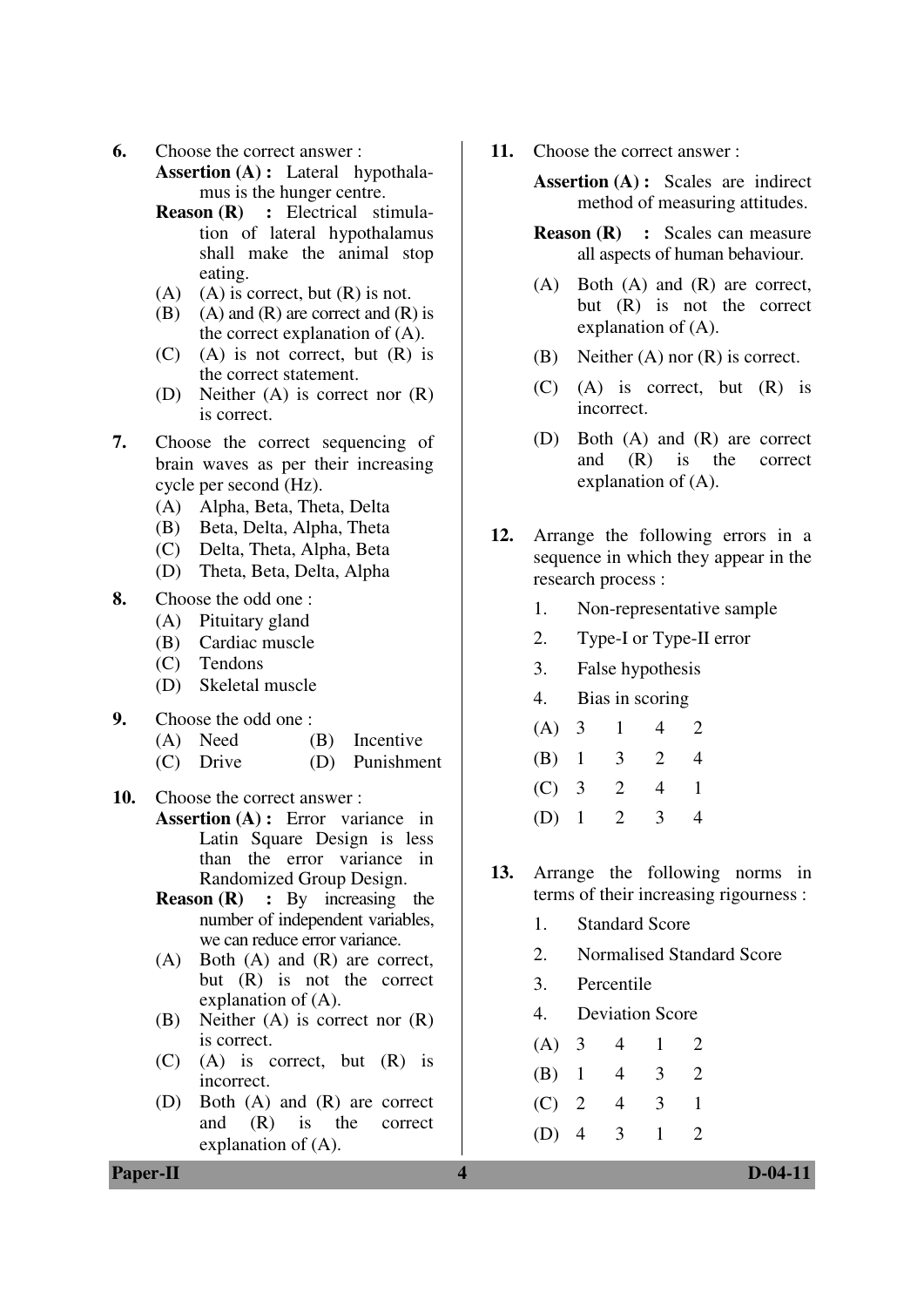**6.** Choose the correct answer :

**Assertion (A) :** Lateral hypothalamus is the hunger centre.

- **Reason (R) :** Electrical stimulation of lateral hypothalamus shall make the animal stop eating.
- (A) (A) is correct, but  $(R)$  is not.
- $(B)$  (A) and  $(R)$  are correct and  $(R)$  is the correct explanation of (A).
- $(C)$  (A) is not correct, but  $(R)$  is the correct statement.
- (D) Neither (A) is correct nor (R) is correct.
- **7.** Choose the correct sequencing of brain waves as per their increasing cycle per second (Hz).
	- (A) Alpha, Beta, Theta, Delta
	- (B) Beta, Delta, Alpha, Theta
	- (C) Delta, Theta, Alpha, Beta
	- (D) Theta, Beta, Delta, Alpha

## **8.** Choose the odd one :

- (A) Pituitary gland
- (B) Cardiac muscle
- (C) Tendons
- (D) Skeletal muscle
- **9.** Choose the odd one :
	- (A) Need (B) Incentive
	- (C) Drive (D) Punishment

#### **10.** Choose the correct answer :

- Assertion (A) : Error variance in Latin Square Design is less than the error variance in Randomized Group Design.
	- **Reason (R)** : By increasing the number of independent variables, we can reduce error variance.
	- (A) Both (A) and (R) are correct, but (R) is not the correct explanation of (A).
	- (B) Neither (A) is correct nor (R) is correct.
	- (C) (A) is correct, but (R) is incorrect.
	- (D) Both (A) and (R) are correct and (R) is the correct explanation of (A).

**11.** Choose the correct answer :

**Assertion (A) :** Scales are indirect method of measuring attitudes.

- **Reason (R) : Scales can measure** all aspects of human behaviour.
- (A) Both (A) and (R) are correct, but (R) is not the correct explanation of (A).
- (B) Neither (A) nor (R) is correct.
- (C) (A) is correct, but (R) is incorrect.
- (D) Both (A) and (R) are correct and (R) is the correct explanation of (A).
- **12.** Arrange the following errors in a sequence in which they appear in the research process :
	- 1. Non-representative sample
	- 2. Type-I or Type-II error
	- 3. False hypothesis
	- 4. Bias in scoring

| (A) 3   |                       | 4 | $\mathbf{2}$ |
|---------|-----------------------|---|--------------|
| $(B)$ 1 | $\overline{3}$        | 2 |              |
| $(C)$ 3 | $\overline{2}$        | 4 | Ι.           |
|         | (D) $1\quad 2\quad 3$ |   |              |

- **13.** Arrange the following norms in terms of their increasing rigourness :
	- 1. Standard Score
	- 2. Normalised Standard Score
	- 3. Percentile
	- 4. Deviation Score
	- (A) 3 4 1 2 (B) 1 4 3 2 (C) 2 4 3 1
	- (D) 4 3 1 2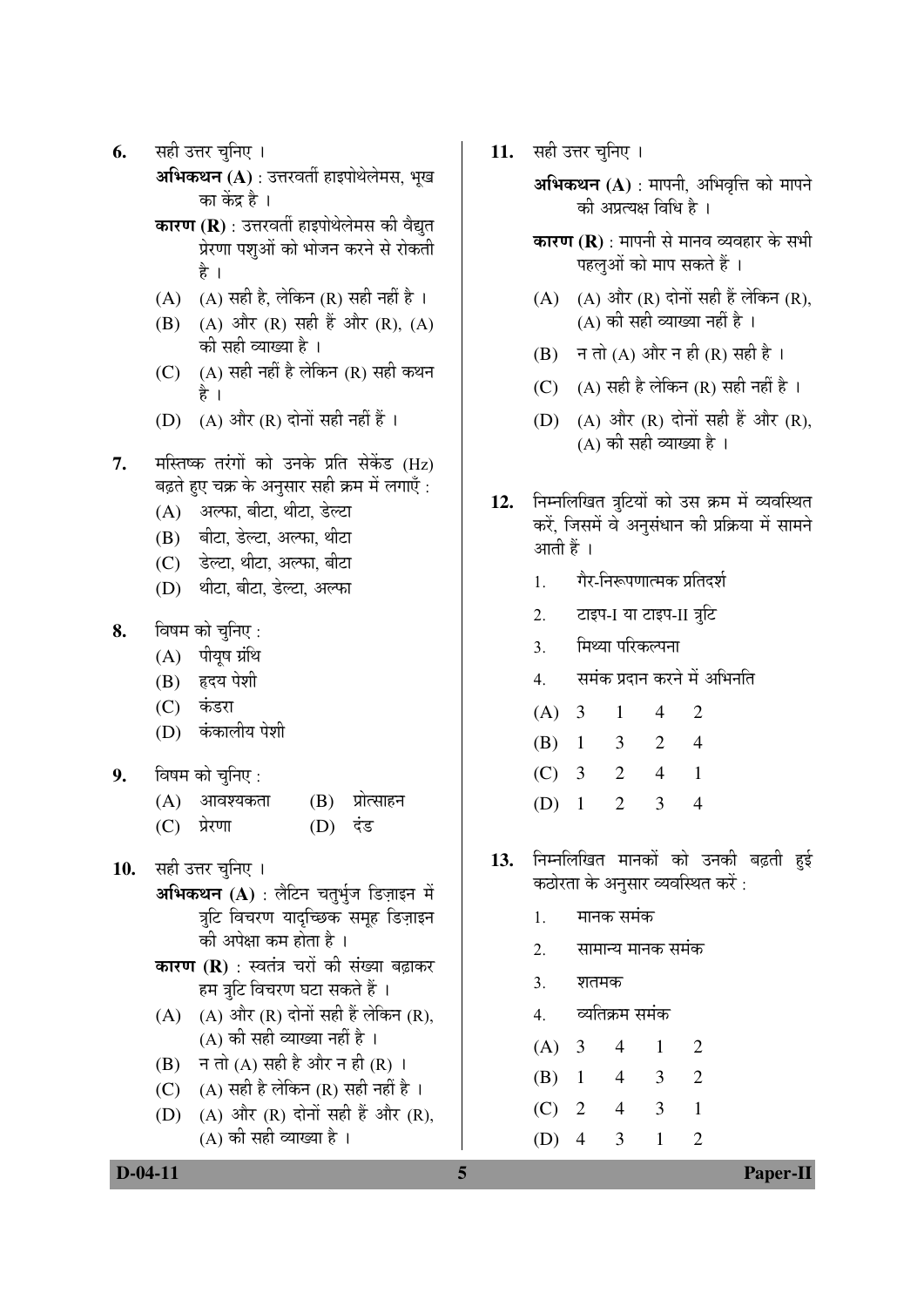- **6.** सही उत्तर चनिए ।
	- **अभिकथन (A)** : उत्तरवर्ती हाइपोथेलेमस, भृख का केंद्र है ।
	- **कारण (R)** : उत्तरवर्ती हाइपोथेलेमस की वैद्यत प्रेरणा पशुओं को भोजन करने से रोकती है ।
	- (A)  $(A)$  सही है, लेकिन (R) सही नहीं है ।
	- (B) (A) और (R) सही हैं और (R), (A) को सही व्याख्या है ।
	- $(C)$   $(A)$  सही नहीं है लेकिन  $(R)$  सही कथन है ।
	- (D)  $(A)$  और  $(R)$  दोनों सही नहीं हैं।
- **7.** मस्तिष्क तरंगों को उनके प्रति सेकेंड (Hz) बढ़ते हुए चक्र के अनुसार सही क्रम में लगाएँ :
	- $(A)$  अल्फा, बीटा, थीटा, डेल्टा
	- $(B)$  बीटा, डेल्टा, अल्फा. थीटा
	- (C) डेल्टा, थीटा, अल्फा, बीटा
	- (D) थीटा, बीटा, डेल्टा, अल्फा
- **8.** विषम को चुनिए :
	- $(A)$  पीयुष ग्रंथि
	- (B) हृदय पेशी
	- (C) कंडरा
	- (D) कंकालीय पेशी
- **9.** विषम को चुनिए :
	- $(A)$  आवश्यकता  $(B)$  प्रोत्साहन
	- $(C)$  प्रेरणा  $(D)$  दंड
- 10. सही उत्तर चुनिए ।
	- **अभिकथन (A)** : लैटिन चतुर्भुज डिज़ाइन में त्रटि विचरण यादच्छिक समह डिज़ाइन की अपेक्षा कम होता है ।
	- **कारण (R)** : स्वतंत्र चरों की संख्या बढ़ाकर हम त्रटि विचरण घटा सकते हैं ।
	- $(A)$   $(A)$  और  $(R)$  दोनों सही हैं लेकिन  $(R)$ , (A) की सही व्याख्या नहीं है ।
	- $(B)$   $\overrightarrow{H}$   $\overrightarrow{H}$   $(A)$   $\overrightarrow{H}$  $\overrightarrow{B}$   $\overrightarrow{H}$  $\overrightarrow{H}$  $\overrightarrow{H}$  $\overrightarrow{H}$  $\overrightarrow{H}$  $\overrightarrow{H}$  $\overrightarrow{H}$
	- (C)  $(A)$  सही है लेकिन (R) सही नहीं है ।
	- (D)  $(A)$  और  $(R)$  दोनों सही हैं और  $(R)$ , (A) की सही व्याख्या है ।

11. सही उत्तर चुनिए ।

**अभिकथन (A)** : मापनी, अभिवृत्ति को मापने को अप्रत्यक्ष विधि है ।

- **कारण (R)** : मापनी से मानव व्यवहार के सभी पहलओं को माप सकते हैं ।
- $(A)$   $(A)$  और  $(R)$  दोनों सही हैं लेकिन  $(R)$ , (A) की सही व्याख्या नहीं है ।
- (B)  $\vec{A}$  न तो (A) और न ही (R) सही है।
- (C)  $(A)$  सही है लेकिन (R) सही नहीं है ।
- (D) (A) और (R) दोनों सही हैं और (R), (A) की सही व्याख्या है ।
- 12. निम्नलिखित त्रुटियों को उस क्रम में व्यवस्थित करें, जिसमें वे अनुसंधान की प्रक्रिया में सामने आती हैं ।
	- <u>।</u> गैर-निरूपणात्मक प्रतिदर्श
	- 2. टाइप-I या टाइप-II त्रूटि
	- 3. मिथ्या परिकल्पना
	- 4. समंक प्रदान करने में अभिनति

| (A) 3   | $\pm$                 | 4   | $\mathbf{2}$ |
|---------|-----------------------|-----|--------------|
|         | $(B)$ 1 3 2           |     | 4            |
| $(C)$ 3 | 2                     | 4 1 |              |
|         | (D) $1\quad 2\quad 3$ |     |              |

- 1**3.** निम्नलिखित मानकों को उनकी बढ़ती हई कठोरता के अनुसार व्यवस्थित करें :
	- 1. मानक समंक
	- 2. सामान्य मानक समंक
	- 3. शतमक
	- 4. व्यतिक्रम समंक

| (A) 3     | 4 | $1 -$ | 2              |
|-----------|---|-------|----------------|
| $(B)$ 1 4 |   | 3     | $\overline{2}$ |
| $(C)$ 2   | 4 | 3     |                |
| (D) 4     |   | 3 1   | 2              |

**D-04-11** Paper-II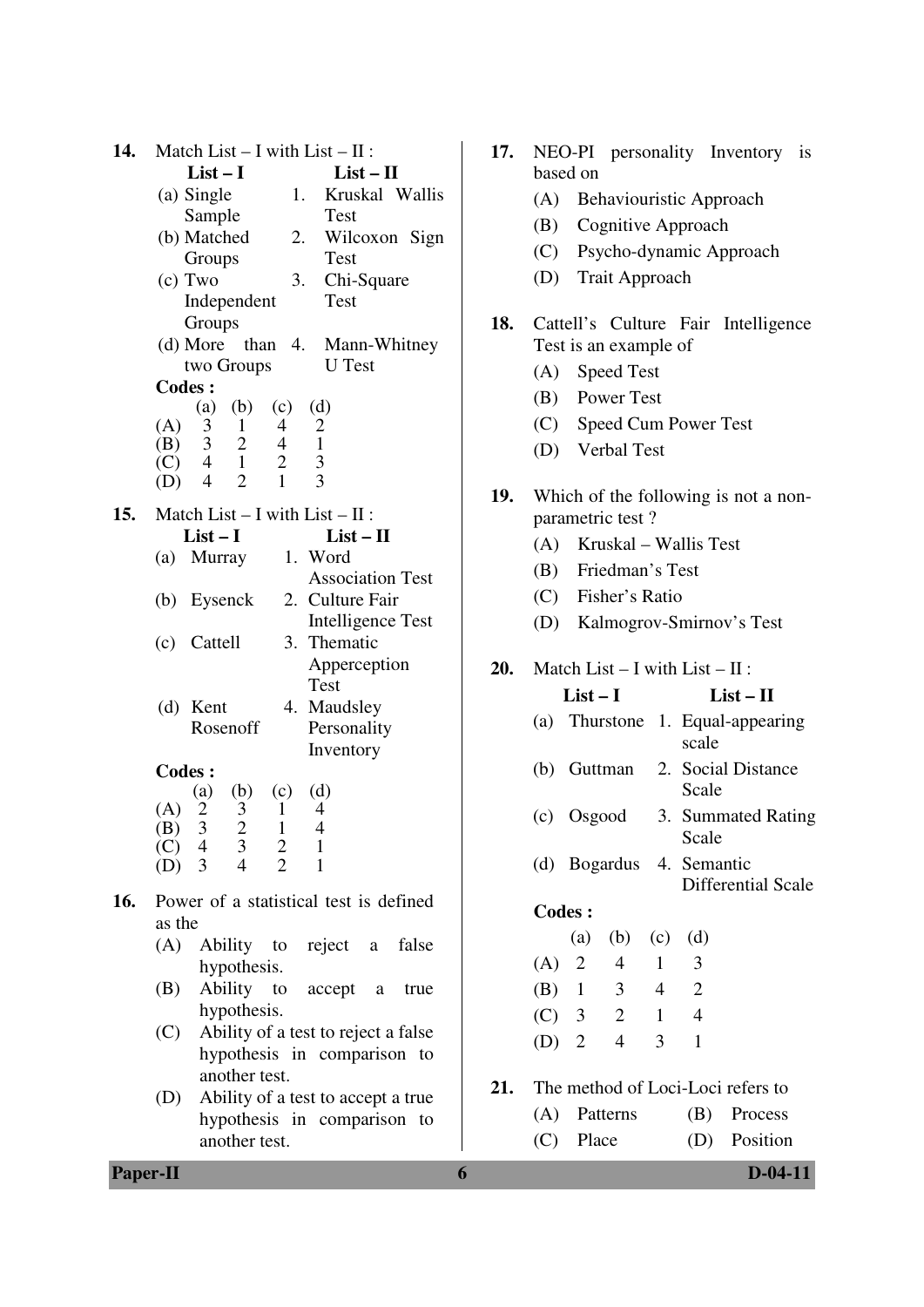| 14.<br>Match List $- I$ with List $- II$ :                                   | 17. | NEO-PI personality Inventory is                               |
|------------------------------------------------------------------------------|-----|---------------------------------------------------------------|
| $List-I$<br>$List - II$                                                      |     | based on                                                      |
| (a) Single<br>Kruskal Wallis<br>1.                                           |     | (A)<br>Behaviouristic Approach                                |
| Sample<br><b>Test</b>                                                        |     | Cognitive Approach<br>(B)                                     |
| (b) Matched<br>Wilcoxon Sign<br>2.<br>Groups<br><b>Test</b>                  |     | (C)<br>Psycho-dynamic Approach                                |
| (c) Two<br>3.<br>Chi-Square                                                  |     | (D)<br><b>Trait Approach</b>                                  |
| Independent<br>Test                                                          |     |                                                               |
| Groups                                                                       | 18. | Cattell's Culture Fair Intelligence                           |
| (d) More than $4$ .<br>Mann-Whitney                                          |     | Test is an example of                                         |
| two Groups<br><b>U</b> Test                                                  |     | <b>Speed Test</b><br>(A)                                      |
| <b>Codes:</b>                                                                |     | Power Test<br>(B)                                             |
| (b)<br>(c)<br>(d)<br>(a)<br>(A)<br>3<br>$\overline{c}$<br>1<br>4             |     | Speed Cum Power Test<br>(C)                                   |
| $\mathfrak{Z}$<br>2<br>$\mathbf{1}$<br>$\overline{4}$<br>(B)                 |     | <b>Verbal Test</b><br>(D)                                     |
| $\overline{1}$<br>$\overline{2}$<br>$\frac{3}{3}$<br>$\overline{4}$<br>(C)   |     |                                                               |
| $\overline{2}$<br>$\mathbf{1}$<br>$\overline{4}$<br>(D)                      | 19. | Which of the following is not a non-                          |
| Match List $- I$ with List $- II$ :<br>15.                                   |     | parametric test?                                              |
| $List-I$<br>$List - II$                                                      |     | Kruskal – Wallis Test<br>(A)                                  |
| (a) Murray<br>1. Word                                                        |     | Friedman's Test<br>(B)                                        |
| <b>Association Test</b>                                                      |     | Fisher's Ratio<br>(C)                                         |
| 2. Culture Fair<br>(b) Eysenck                                               |     |                                                               |
| Intelligence Test<br>Cattell<br>3. Thematic<br>(c)                           |     | (D)<br>Kalmogrov-Smirnov's Test                               |
| Apperception                                                                 | 20. | Match List $- I$ with List $- II$ :                           |
| <b>Test</b>                                                                  |     |                                                               |
| 4. Maudsley<br>(d) Kent                                                      |     | $List-I$<br>$List - II$                                       |
| Rosenoff<br>Personality                                                      |     | Thurstone 1. Equal-appearing<br>(a)                           |
| Inventory                                                                    |     | scale                                                         |
| <b>Codes:</b>                                                                |     | Guttman<br>2. Social Distance<br>(b)<br>Scale                 |
| (d)<br>(b)<br>(c)<br>$\left( a\right)$<br>$\mathbf{2}$<br>(A)<br>3<br>1<br>4 |     |                                                               |
| 3<br>$\overline{2}$<br>$\mathbf{1}$<br>(B)<br>4                              |     | 3. Summated Rating<br>Osgood<br>(c)                           |
|                                                                              |     |                                                               |
| $\mathfrak{Z}$<br>(C)<br>$\overline{4}$<br>$\mathbf{1}$                      |     | Scale                                                         |
| $\frac{2}{2}$<br>$\mathbf{1}$<br>3<br>$\overline{4}$<br>(D)                  |     | (d) Bogardus<br>4. Semantic                                   |
| Power of a statistical test is defined<br>16.                                |     | <b>Differential Scale</b>                                     |
| as the                                                                       |     | <b>Codes:</b>                                                 |
| Ability<br>false<br>(A)<br>reject<br>to<br>a                                 |     | (a)<br>(d)<br>(b)<br>(c)                                      |
| hypothesis.                                                                  |     | $\overline{2}$<br>$\overline{4}$<br>3<br>(A)<br>$\mathbf{1}$  |
| Ability to<br>(B)<br>accept<br>true<br>a                                     |     | $\overline{2}$<br>3<br>$4\overline{ }$<br>(B)<br>$\mathbf{1}$ |
| hypothesis.                                                                  |     | $\overline{2}$<br>$\overline{4}$<br>(C)<br>3<br>$\mathbf{1}$  |
| Ability of a test to reject a false<br>(C)                                   |     | 3<br>$\mathbf{1}$<br>(D)<br>2<br>$\overline{4}$               |
| hypothesis in comparison to                                                  |     |                                                               |
| another test.<br>Ability of a test to accept a true<br>(D)                   | 21. | The method of Loci-Loci refers to                             |
| hypothesis in comparison to                                                  |     | Patterns<br>(B)<br>Process<br>(A)                             |
| another test.                                                                |     | Place<br>Position<br>(C)<br>(D)                               |

|     |                                                              | based on      |                                                |                |                | 17. NEO-PI personality Inventory is   |  |  |  |
|-----|--------------------------------------------------------------|---------------|------------------------------------------------|----------------|----------------|---------------------------------------|--|--|--|
|     |                                                              |               |                                                |                |                | (A) Behaviouristic Approach           |  |  |  |
|     |                                                              |               | (B) Cognitive Approach                         |                |                |                                       |  |  |  |
|     |                                                              |               |                                                |                |                | (C) Psycho-dynamic Approach           |  |  |  |
|     |                                                              |               | (D) Trait Approach                             |                |                |                                       |  |  |  |
| 18. | Cattell's Culture Fair Intelligence<br>Test is an example of |               |                                                |                |                |                                       |  |  |  |
|     |                                                              |               | (A) Speed Test                                 |                |                |                                       |  |  |  |
|     |                                                              |               | (B) Power Test                                 |                |                |                                       |  |  |  |
|     |                                                              |               |                                                |                |                | (C) Speed Cum Power Test              |  |  |  |
|     |                                                              |               | (D) Verbal Test                                |                |                |                                       |  |  |  |
| 19. |                                                              |               | parametric test?                               |                |                | Which of the following is not a non-  |  |  |  |
|     |                                                              |               | (A) Kruskal – Wallis Test                      |                |                |                                       |  |  |  |
|     |                                                              |               | (B) Friedman's Test                            |                |                |                                       |  |  |  |
|     |                                                              |               | (C) Fisher's Ratio                             |                |                |                                       |  |  |  |
|     |                                                              |               |                                                |                |                | (D) Kalmogrov-Smirnov's Test          |  |  |  |
|     |                                                              |               | <b>20.</b> Match List $- I$ with List $- II$ : |                |                |                                       |  |  |  |
|     |                                                              | $List-I$      |                                                |                |                | $List - II$                           |  |  |  |
|     |                                                              |               |                                                |                | scale          | (a) Thurstone 1. Equal-appearing      |  |  |  |
|     |                                                              |               |                                                |                | Scale          | (b) Guttman 2. Social Distance        |  |  |  |
|     |                                                              | (c) Osgood    |                                                |                | Scale          | 3. Summated Rating                    |  |  |  |
|     |                                                              |               | (d) Bogardus 4. Semantic                       |                |                | Differential Scale                    |  |  |  |
|     |                                                              | <b>Codes:</b> |                                                |                |                |                                       |  |  |  |
|     |                                                              |               | (a) (b) (c) (d)                                |                |                |                                       |  |  |  |
|     |                                                              | (A) 2 4       |                                                | $\overline{1}$ | 3              |                                       |  |  |  |
|     |                                                              |               | (B) $1 \quad 3 \quad 4 \quad 2$                |                |                |                                       |  |  |  |
|     |                                                              |               | (C) 3 2 1 4                                    |                |                |                                       |  |  |  |
|     |                                                              | $(D)$ 2       | $\overline{4}$                                 | 3 <sup>7</sup> | $\overline{1}$ |                                       |  |  |  |
|     |                                                              |               |                                                |                |                | 21. The method of Loci-Loci refers to |  |  |  |
|     |                                                              |               |                                                |                |                | (A) Patterns (B) Process              |  |  |  |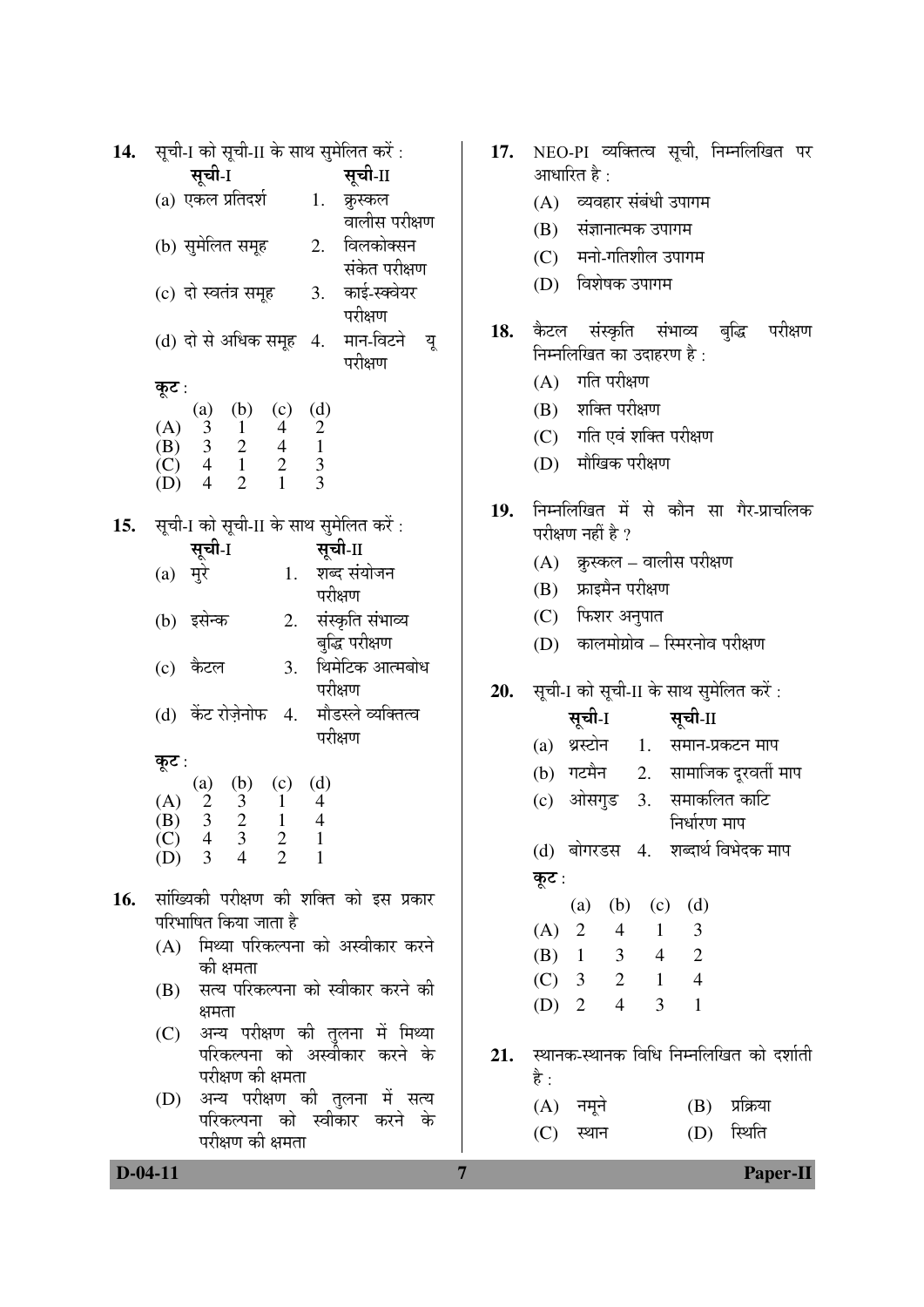| 14. | सूची-I को सूची-II के साथ सुमेलित करें :                                                                                                                  | 17.            | NEO-PI व्यक्तित्व सूची, निम्नलिखित पर                         |
|-----|----------------------------------------------------------------------------------------------------------------------------------------------------------|----------------|---------------------------------------------------------------|
|     | सूची-1<br>सूची-II                                                                                                                                        |                | आधारित है :                                                   |
|     | (a) एकल प्रतिदर्श<br>1.<br>कुस्कल                                                                                                                        |                | (A) व्यवहार संबंधी उपागम                                      |
|     | वालीस परीक्षण                                                                                                                                            |                | संज्ञानात्मक उपागम<br>(B)                                     |
|     | 2. विलकोक्सन<br>(b) सुमेलित समूह<br>संकेत परीक्षण                                                                                                        |                | मनो-गतिशील उपागम<br>(C)                                       |
|     | (c) दो स्वतंत्र समूह<br>3. काई-स्क्वेयर                                                                                                                  |                | विशेषक उपागम<br>(D)                                           |
|     | परीक्षण                                                                                                                                                  |                |                                                               |
|     | मान-विटने<br>(d) दो से अधिक समूह 4.<br>यू                                                                                                                | 18.            | कैटल संस्कृति संभाव्य बुद्धि<br>परीक्षण                       |
|     | परीक्षण                                                                                                                                                  |                | निम्नलिखित का उदाहरण है:                                      |
|     | कूट :                                                                                                                                                    |                | गति परीक्षण<br>(A)                                            |
|     | (b)<br>(c)<br>(d)<br>$\left( a\right)$                                                                                                                   |                | शक्ति परीक्षण<br>(B)                                          |
|     | (A) $\begin{array}{ccc} & (4) & (5) & (7) & (8) \\ (1) & 3 & 1 & 4 & 2 \\ (2) & 4 & 1 & 2 & 3 \\ (2) & 4 & 1 & 2 & 3 \\ (3) & 4 & 2 & 1 & 3 \end{array}$ |                | गति एवं शक्ति परीक्षण<br>(C)                                  |
|     |                                                                                                                                                          |                | मौखिक परीक्षण<br>(D)                                          |
|     | (D)                                                                                                                                                      |                |                                                               |
| 15. | सूची-I को सूची-II के साथ सुमेलित करें:                                                                                                                   | 19.            | निम्नलिखित में से कौन सा गैर-प्राचलिक                         |
|     | सूची-II<br>सूची-I                                                                                                                                        |                | परीक्षण नहीं है ?                                             |
|     | 1. शब्द संयोजन<br>$(a)$ मुरे                                                                                                                             |                | (A) क्रुस्कल – वालीस परीक्षण                                  |
|     | परीक्षण                                                                                                                                                  |                | फ्राइमैन परीक्षण<br>(B)                                       |
|     | संस्कृति संभाव्य<br>(b) इसेन्क<br>2.                                                                                                                     |                | फिशर अनुपात<br>(C)                                            |
|     | बुद्धि परीक्षण                                                                                                                                           |                | कालमोग्रोव – स्मिरनोव परीक्षण<br>(D)                          |
|     | थिमेटिक आत्मबोध<br>कैटल<br>3.<br>(c)<br>परीक्षण                                                                                                          | 20.            | सूची-I को सूची-II के साथ सुमेलित करें :                       |
|     | (d) केंट रोज़ेनोफ<br>मौडस्ले व्यक्तित्व<br>4.                                                                                                            |                | सूची-I                                                        |
|     | परीक्षण                                                                                                                                                  |                | सूची-II                                                       |
|     | कूट :                                                                                                                                                    |                | (a) थ्रस्टोन<br>1.<br>समान-प्रकटन माप                         |
|     | (d)<br>(c)<br>(a)                                                                                                                                        |                | 2. सामाजिक दूरवर्ती माप<br>(b) गटमैन                          |
|     | $\begin{pmatrix} 1 \\ 3 \\ 2 \end{pmatrix}$<br>$\frac{2}{3}$<br>(A)<br>$\mathbf{1}$<br>$\frac{4}{4}$<br>(B)<br>$\mathbf{1}$                              |                | समाकलित काटि<br>ओसगुड<br>3.<br>(c)<br>निर्धारण माप            |
|     | (C)<br>$\overline{4}$<br>$\frac{2}{\sqrt{2}}$<br>$\frac{3}{4}$<br>$\perp$                                                                                |                | (d) बोगरडस 4. शब्दार्थ विभेदक माप                             |
|     | $\overline{2}$<br>3<br>(D)                                                                                                                               |                |                                                               |
| 16. | सांख्यिकी परीक्षण की शक्ति को इस प्रकार                                                                                                                  |                | कूट :                                                         |
|     | परिभाषित किया जाता है                                                                                                                                    |                | (b)<br>$(c)$ $(d)$<br>(a)<br>2<br>$4\quad$<br>1<br>3<br>(A)   |
|     | (A) मिथ्या परिकल्पना को अस्वीकार करने                                                                                                                    |                | $\overline{2}$<br>$(B)$ 1<br>3 <sup>7</sup><br>$\overline{4}$ |
|     | की क्षमता                                                                                                                                                |                | $(C)$ 3<br>$\overline{4}$<br>$\overline{2}$<br>1              |
|     | सत्य परिकल्पना को स्वीकार करने की<br>(B)                                                                                                                 |                | $\mathbf{1}$<br>$(D)$ 2<br>$\overline{4}$<br>3                |
|     | क्षमता<br>अन्य परीक्षण की तुलना में मिथ्या<br>(C)                                                                                                        |                |                                                               |
|     | परिकल्पना को अस्वीकार करने के                                                                                                                            | 21.            | स्थानक-स्थानक विधि निम्नलिखित को दर्शाती                      |
|     | परीक्षण की क्षमता                                                                                                                                        |                | है :                                                          |
|     | अन्य परीक्षण की तुलना में सत्य<br>(D)                                                                                                                    |                | प्रक्रिया<br>(A) नमूने<br>(B)                                 |
|     | परिकल्पना को स्वीकार करने के<br>परीक्षण की क्षमता                                                                                                        |                | स्थिति<br>(C)<br>स्थान<br>(D)                                 |
|     |                                                                                                                                                          |                |                                                               |
|     | $D-04-11$                                                                                                                                                | $\overline{7}$ | Paper-II                                                      |

|     | 17. NEO-PI व्यक्तित्व सूची, निम्नलिखित पर<br>आधारित है : |  |  |  |  |  |  |  |
|-----|----------------------------------------------------------|--|--|--|--|--|--|--|
|     | (A) व्यवहार संबंधी उपागम                                 |  |  |  |  |  |  |  |
|     | (B) संज्ञानात्मक उपागम                                   |  |  |  |  |  |  |  |
|     | (C) मनो-गतिशील उपागम                                     |  |  |  |  |  |  |  |
|     | (D) विशेषक उपागम                                         |  |  |  |  |  |  |  |
|     | 18. कैटल संस्कृति संभाव्य बुद्धि परीक्षण                 |  |  |  |  |  |  |  |
|     | निम्नलिखित का उदाहरण है :                                |  |  |  |  |  |  |  |
|     | (A) गति परीक्षण                                          |  |  |  |  |  |  |  |
|     | (B) शक्ति परीक्षण                                        |  |  |  |  |  |  |  |
|     | (C) गति एवं शक्ति परीक्षण                                |  |  |  |  |  |  |  |
|     | (D) मौखिक परीक्षण                                        |  |  |  |  |  |  |  |
| 19. | निम्नलिखित में से कौन सा गैर-प्राचलिक                    |  |  |  |  |  |  |  |
|     | परीक्षण नहीं है ?                                        |  |  |  |  |  |  |  |
|     | (A) क्रुस्कल – वालीस परीक्षण                             |  |  |  |  |  |  |  |
|     | (B) फ्राइमैन परीक्षण                                     |  |  |  |  |  |  |  |
|     | (C) फिशर अनुपात                                          |  |  |  |  |  |  |  |
|     | (D) कालमोग्रोव – स्मिरनोव परीक्षण                        |  |  |  |  |  |  |  |
| 20. | सूची-I को सूची-II के साथ सुमेलित करें :                  |  |  |  |  |  |  |  |
|     | सूची-I सूची-II                                           |  |  |  |  |  |  |  |
|     | (a) थ्रस्टोन 1. समान-प्रकटन माप                          |  |  |  |  |  |  |  |
|     | (b) गटमैन 2. सामाजिक दूरवर्ती माप                        |  |  |  |  |  |  |  |
|     | (c) ओसगुड 3. समाकलित काटि                                |  |  |  |  |  |  |  |
|     | निर्धारण माप                                             |  |  |  |  |  |  |  |
|     | (d) बोगरडस 4. शब्दार्थ विभेदक माप                        |  |  |  |  |  |  |  |
|     | कूट:                                                     |  |  |  |  |  |  |  |
|     | (a) (b) (c) (d)                                          |  |  |  |  |  |  |  |
|     | (A) 2 4 1 3                                              |  |  |  |  |  |  |  |
|     | (B) 1 3 4 2                                              |  |  |  |  |  |  |  |
|     | $(C)$ 3 2 1 4<br>(D) 2 4 3 1                             |  |  |  |  |  |  |  |
|     |                                                          |  |  |  |  |  |  |  |
|     | $21.$ स्थानक-स्थानक विधि निम्नलिखित को दर्शाती           |  |  |  |  |  |  |  |
|     | है :                                                     |  |  |  |  |  |  |  |
|     | (B) प्रक्रिया<br>(A) नमूने                               |  |  |  |  |  |  |  |
|     | (D) स्थिति<br>$(C)$ स्थान                                |  |  |  |  |  |  |  |
|     |                                                          |  |  |  |  |  |  |  |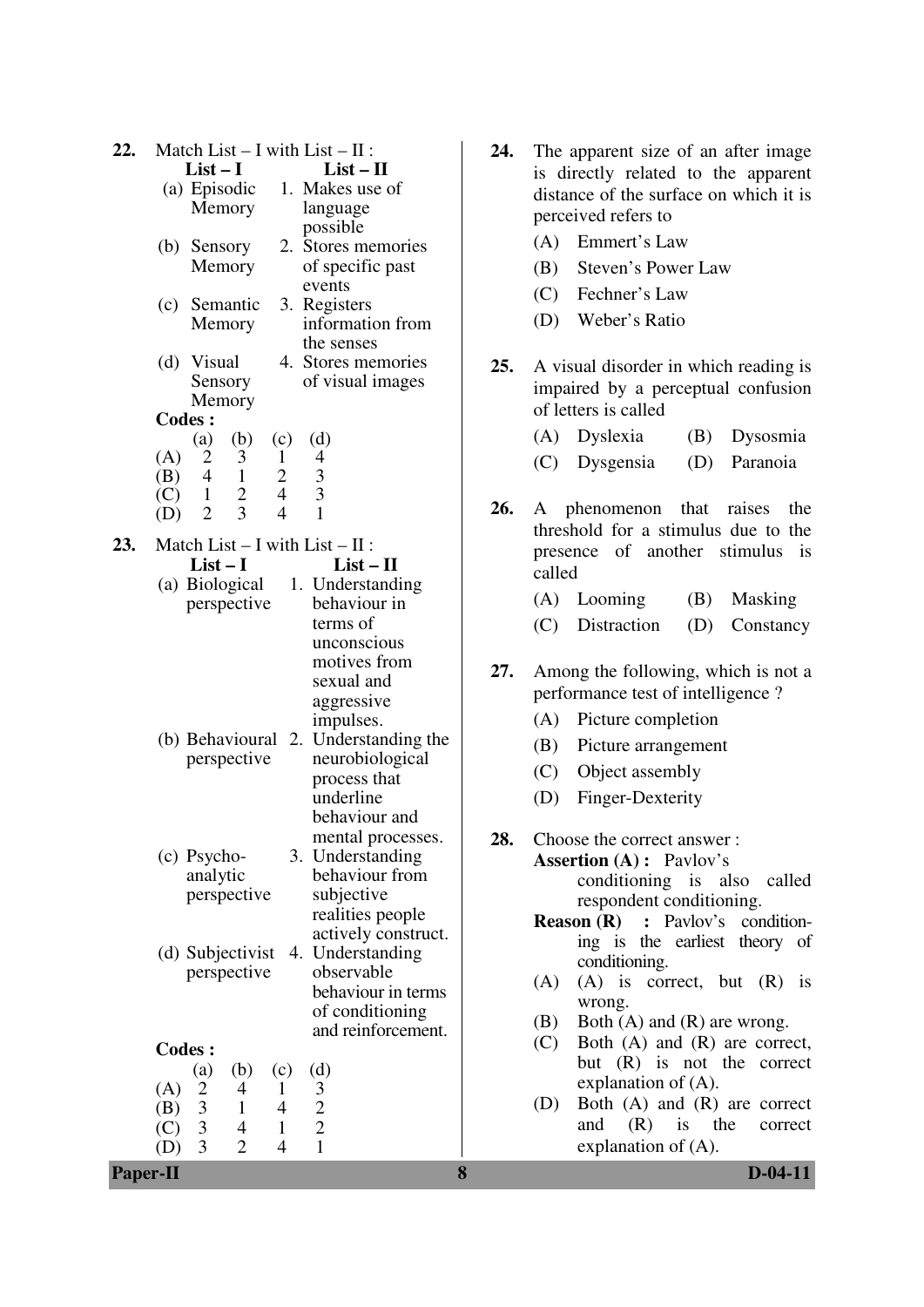| 22.                                | Match List $- I$ with List $- II$ :<br>$List-I$<br>(a) Episodic<br>Memory<br>(b) Sensory<br>Memory<br>(c) Semantic<br>Memory                                  | $List - II$<br>1. Makes use of<br>language<br>possible<br>2. Stores memories<br>of specific past<br>events<br>3. Registers<br>information from<br>the senses   | 24. | The apparent size of an after image<br>is directly related to the apparent<br>distance of the surface on which it is<br>perceived refers to<br>Emmert's Law<br>(A)<br>Steven's Power Law<br>(B)<br>Fechner's Law<br>(C)<br>Weber's Ratio<br>(D)                                             |
|------------------------------------|---------------------------------------------------------------------------------------------------------------------------------------------------------------|----------------------------------------------------------------------------------------------------------------------------------------------------------------|-----|---------------------------------------------------------------------------------------------------------------------------------------------------------------------------------------------------------------------------------------------------------------------------------------------|
| <b>Codes:</b><br>(A)<br>(B)        | $(d)$ Visual<br>Sensory<br>Memory<br>(b)<br>(a)<br>(c)<br>$\overline{2}$<br>3<br>$\mathbf{1}$<br>$\overline{2}$<br>$\overline{4}$<br>$\overline{1}$           | 4. Stores memories<br>of visual images<br>(d)<br>$\overline{4}$<br>$\frac{3}{3}$                                                                               | 25. | A visual disorder in which reading is<br>impaired by a perceptual confusion<br>of letters is called<br>(A)<br>Dyslexia<br>(B)<br>Dysosmia<br>(C)<br>Dysgensia<br>(D)<br>Paranoia                                                                                                            |
| (C)<br>(D)<br>23.                  | $\overline{4}$<br>$\overline{2}$<br>$\overline{1}$<br>$\overline{3}$<br>$\overline{4}$<br>2<br>Match List $-$ I with List $-$ II :<br>$List-I$<br>perspective | $\overline{1}$<br>$List - II$<br>(a) Biological 1. Understanding<br>behaviour in<br>terms of<br>unconscious                                                    | 26. | A phenomenon that raises<br>the<br>threshold for a stimulus due to the<br>presence of another stimulus is<br>called<br>$(A)$ Looming<br>Masking<br>(B)<br>Distraction<br>(C)<br>(D)<br>Constancy                                                                                            |
|                                    | perspective                                                                                                                                                   | motives from<br>sexual and<br>aggressive<br>impulses.<br>(b) Behavioural 2. Understanding the<br>neurobiological<br>process that<br>underline<br>behaviour and | 27. | Among the following, which is not a<br>performance test of intelligence?<br>(A)<br>Picture completion<br>(B)<br>Picture arrangement<br>(C)<br>Object assembly<br>Finger-Dexterity<br>(D)                                                                                                    |
|                                    | (c) Psycho-<br>analytic<br>perspective<br>(d) Subjectivist                                                                                                    | mental processes.<br>3. Understanding<br>behaviour from<br>subjective<br>realities people<br>actively construct.<br>4. Understanding                           | 28. | Choose the correct answer:<br><b>Assertion (A) :</b> Pavlov's<br>conditioning is also<br>called<br>respondent conditioning.<br>: Pavlov's condition-<br><b>Reason</b> $(R)$<br>ing is the earliest theory of                                                                                |
| <b>Codes:</b><br>(A)<br>(B)<br>(C) | perspective<br>(b)<br>(a)<br>(c)<br>$\overline{2}$<br>4<br>1<br>$\mathfrak{Z}$<br>$\mathbf{1}$<br>$\overline{4}$<br>3<br>$\mathbf{1}$<br>$\overline{4}$       | observable<br>behaviour in terms<br>of conditioning<br>and reinforcement.<br>(d)<br>$\frac{3}{2}$                                                              |     | conditioning.<br>$(A)$ is correct, but $(R)$ is<br>(A)<br>wrong.<br>Both (A) and (R) are wrong.<br>(B)<br>Both $(A)$ and $(R)$ are correct,<br>(C)<br>but (R) is not the correct<br>explanation of $(A)$ .<br>Both $(A)$ and $(R)$ are correct<br>(D)<br>and<br>(R)<br>is<br>the<br>correct |
| (D)<br><b>Paper-II</b>             | $\overline{3}$<br>$\overline{2}$<br>$\overline{4}$                                                                                                            | $\mathbf{1}$                                                                                                                                                   | 8   | explanation of $(A)$ .<br>$D-04-11$                                                                                                                                                                                                                                                         |

- The apparent size of an after image is directly related to the apparent distance of the surface on which it is perceived refers to
	- (A) Emmert's Law
	- (B) Steven's Power Law
	- (C) Fechner's Law
	- (D) Weber's Ratio
- **25.** A visual disorder in which reading is impaired by a perceptual confusion of letters is called
	- (A) Dyslexia (B) Dysosmia
	- (C) Dysgensia (D) Paranoia
- **26.** A phenomenon that raises the threshold for a stimulus due to the presence of another stimulus is called
	- (A) Looming (B) Masking
	- (C) Distraction (D) Constancy
- **27.** Among the following, which is not a performance test of intelligence ?
	- (A) Picture completion
	- (B) Picture arrangement
	- (C) Object assembly
	- (D) Finger-Dexterity
	- **28.** Choose the correct answer : **Assertion (A) :** Pavlov's conditioning is also called respondent conditioning.
		- **Reason (R) :** Pavlov's conditioning is the earliest theory of conditioning.
		- (A) (A) is correct, but (R) is wrong.
		- (B) Both (A) and (R) are wrong.
		- (C) Both (A) and (R) are correct, but (R) is not the correct explanation of (A).
		- (D) Both (A) and (R) are correct and (R) is the correct explanation of (A).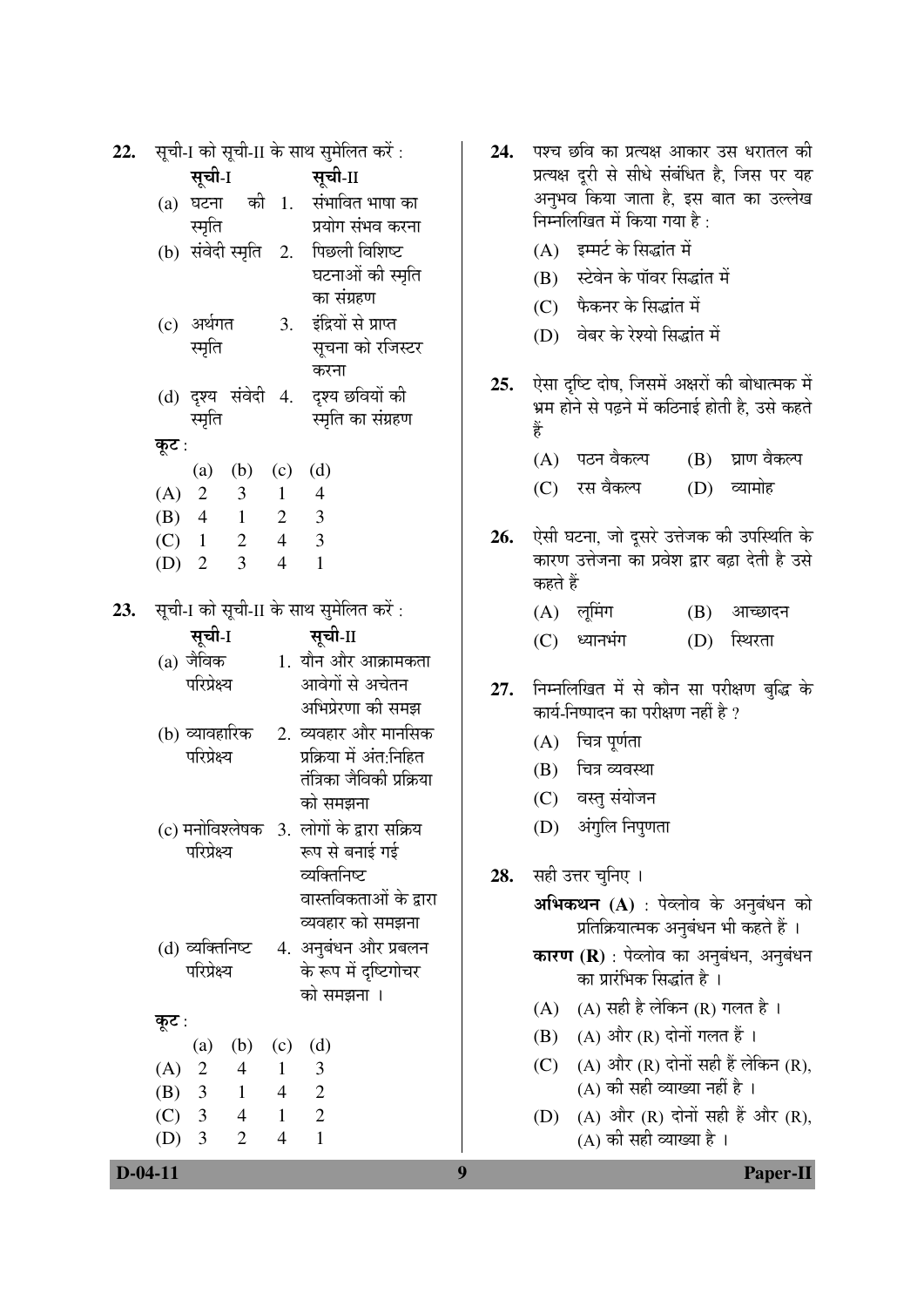| 22. | सूची-I को सूची-II के साथ सुमेलित करें:                                              | 24. | पश्च   |
|-----|-------------------------------------------------------------------------------------|-----|--------|
|     | सूची-II<br>सूची-1                                                                   |     | प्रत्य |
|     | घटना की 1. संभावित भाषा का<br>(a)                                                   |     | अनु    |
|     | स्मृति<br>प्रयोग संभव करना                                                          |     | निम्न  |
|     | पिछली विशिष्ट<br>(b) संवेदी स्मृति   2.                                             |     | (A)    |
|     | घटनाओं की स्मृति                                                                    |     | (B)    |
|     | का संग्रहण                                                                          |     | (C)    |
|     | इंद्रियों से प्राप्त<br>(c) अर्थगत<br>3.                                            |     | (D)    |
|     | स्मृति<br>सूचना को रजिस्टर                                                          |     |        |
|     | करना                                                                                | 25. | ऐसा    |
|     | (d) दृश्य संवेदी 4. दृश्य छवियों की<br>स्मृति<br>स्मृति का संग्रहण                  |     | भ्रम   |
|     |                                                                                     |     | हैं    |
|     | कूट :                                                                               |     | (A)    |
|     | (a) (b) (c)<br>(d)<br>(A) 2 3 1 4                                                   |     | (C)    |
|     | (B) 4 1 2 3                                                                         |     |        |
|     | $(C)$ 1 2 4 3                                                                       | 26. | ऐसी    |
|     | (D) 2 3<br>$\overline{4}$<br>$\mathbf{1}$                                           |     | कार    |
|     |                                                                                     |     | कहत    |
| 23. | सूची-I को सूची-II के साथ सुमेलित करें:                                              |     | (A)    |
|     | सूची-ा<br>सूची-II                                                                   |     | (C)    |
|     | 1. यौन और आक्रामकता<br>(a) जैविक                                                    |     |        |
|     | परिप्रेक्ष्य<br>आवेगों से अचेतन                                                     | 27. | निम्न  |
|     | अभिप्रेरणा की समझ                                                                   |     | कार्य  |
|     | 2. व्यवहार और मानसिक<br>(b) व्यावहारिक                                              |     | (A)    |
|     | परिप्रेक्ष्य<br>प्रक्रिया में अंत:निहित<br>तंत्रिका जैविकी प्रक्रिया                |     | (B)    |
|     | को समझना                                                                            |     | (C)    |
|     | (c) मनोविश्लेषक 3. लोगों के द्वारा सक्रिय                                           |     | (D)    |
|     | परिप्रेक्ष्य<br>रूप से बनाई गई                                                      |     |        |
|     | व्यक्तिनिष्ट                                                                        | 28. | सही    |
|     | वास्तविकताओं के द्वारा                                                              |     | अभि    |
|     | व्यवहार को समझना                                                                    |     |        |
|     | 4. अनुबंधन और प्रबलन<br>(d) व्यक्तिनिष्ट                                            |     | कार    |
|     | परिप्रेक्ष्य<br>के रूप में दृष्टिगोचर                                               |     |        |
|     | को समझना ।                                                                          |     | (A)    |
|     | कूट :                                                                               |     | (B)    |
|     | (b)<br>(c)<br>(d)<br>(a)                                                            |     |        |
|     | $\overline{\phantom{a}}$<br>$\overline{4}$<br>$\mathfrak{Z}$<br>(A)<br>$\mathbf{1}$ |     | (C)    |
|     | (B) $3 \t1 \t4 \t2$<br>$1 \quad 2$                                                  |     |        |
|     | (C) 3 4<br>$(D)$ 3<br>$\overline{2}$<br>$\mathbf{1}$<br>$\overline{4}$              |     | (D)    |
|     |                                                                                     |     |        |

- <del>1</del> छवि का प्रत्यक्ष आकार उस धरातल की क्ष दूरी से सीधे संबंधित है, जिस पर यह भव किया जाता है. इस बात का उल्लेख नलिखित में किया गया है :
	- इम्मर्ट के सिद्धांत में
	- स्टेवेन के पॉवर सिद्धांत में
	- फैकनर के सिद्धांत में
	- वेबर के रेश्यो सिद्धांत में
- दृष्टि दोष, जिसमें अक्षरों की बोधात्मक में होने से पढ़ने में कठिनाई होती है, उसे कहते
	- पठन वैकल्प (B) घ्राण वैकल्प
	- (C) ¸üÃÖ ¾ÖîÛú»¯Ö (D) ¾µÖÖ´ÖÖêÆü
- घटना, जो दुसरे उत्तेजक की उपस्थिति के ण उत्तेजना का प्रवेश द्वार बढ़ा देती है उसे ते हैं
	- लमिंग  $(B)$  आच्छादन
		- ध्यानभंग (D) स्थिरता
- <del>1</del>लिखित में से कौन सा परीक्षण बुद्धि के  $\widehat{\mathfrak{l}}$ -निष्पादन का परीक्षण नहीं है ?
	- चित्र पूर्णता
	- चित्र व्यवस्था
	- वस्तु संयोजन
	- अंगुलि निपुणता
- उत्तर चुनिए ।

**भकथन (A)** : पेव्लोव के अनुबंधन को प्रतिक्रियात्मक अनुबंधन भी कहते हैं ।

**rण (R)** : पेव्लोव का अनुबंधन, अनुबंधन का प्रारंभिक सिद्धांत है<sup>ं</sup>।

- (A) सही है लेकिन (R) गलत है ।
- (A) और (R) दोनों गलत हैं ।
- (A) और (R) दोनों सही हैं लेकिन (R), (A) की सही व्याख्या नहीं है ।
- (A) और (R) दोनों सही हैं और (R), (A) की सही व्याख्या है ।

**D-04-11** Paper-II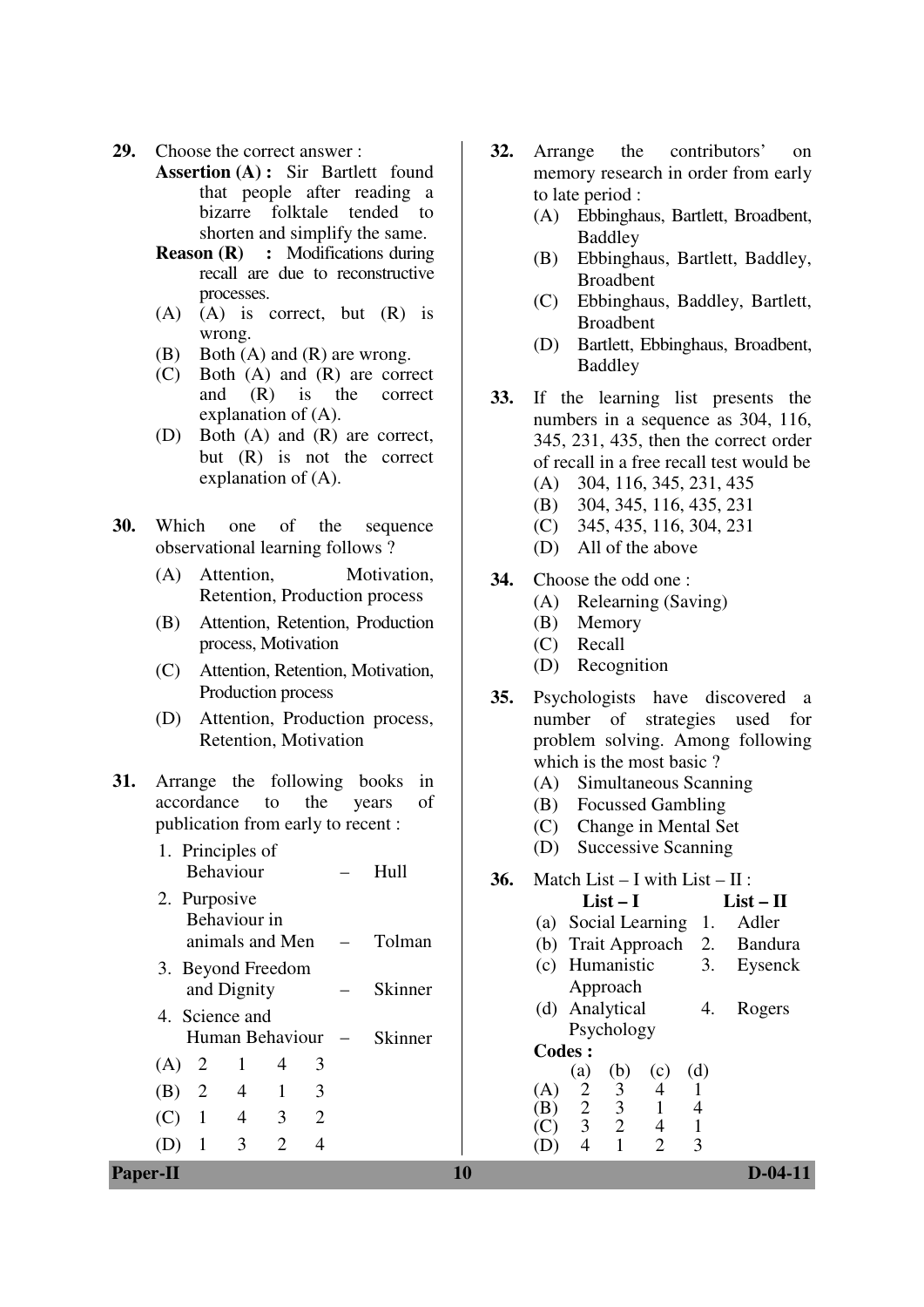- **29.** Choose the correct answer :
	- **Assertion (A) :** Sir Bartlett found that people after reading a bizarre folktale tended to shorten and simplify the same.
	- **Reason (R) :** Modifications during recall are due to reconstructive processes.
	- (A) (A) is correct, but (R) is wrong.
	- (B) Both (A) and (R) are wrong.
	- (C) Both (A) and (R) are correct and (R) is the correct explanation of (A).
	- (D) Both (A) and (R) are correct, but (R) is not the correct explanation of (A).
- **30.** Which one of the sequence observational learning follows ?
	- (A) Attention, Motivation, Retention, Production process
	- (B) Attention, Retention, Production process, Motivation
	- (C) Attention, Retention, Motivation, Production process
	- (D) Attention, Production process, Retention, Motivation
- **31.** Arrange the following books in accordance to the years of publication from early to recent :
	- 1. Principles of Behaviour – Hull 2. Purposive Behaviour in animals and Men – Tolman 3. Beyond Freedom and Dignity – Skinner 4. Science and Human Behaviour – Skinner  $(A)$  2 1 4 3 (B) 2 4 1 3 (C) 1 4 3 2 (D) 1 3 2 4
- **32.** Arrange the contributors' on memory research in order from early to late period :
	- (A) Ebbinghaus, Bartlett, Broadbent, Baddley
	- (B) Ebbinghaus, Bartlett, Baddley, Broadbent
	- (C) Ebbinghaus, Baddley, Bartlett, Broadbent
	- (D) Bartlett, Ebbinghaus, Broadbent, Baddley
- **33.** If the learning list presents the numbers in a sequence as 304, 116, 345, 231, 435, then the correct order of recall in a free recall test would be (A) 304, 116, 345, 231, 435
	- (B) 304, 345, 116, 435, 231
	- (C) 345, 435, 116, 304, 231
	- (D) All of the above
- **34.** Choose the odd one :
	- (A) Relearning (Saving)
	- (B) Memory
	- (C) Recall
	- (D) Recognition
- **35.** Psychologists have discovered a number of strategies used for problem solving. Among following which is the most basic ?
	- (A) Simultaneous Scanning
	- (B) Focussed Gambling
	- (C) Change in Mental Set
	- (D) Successive Scanning
- **36.** Match List I with List II :

|               |                | $List-I$               |     |     | $List-II$                     |
|---------------|----------------|------------------------|-----|-----|-------------------------------|
|               |                | (a) Social Learning 1. |     |     | Adler                         |
|               |                |                        |     |     | (b) Trait Approach 2. Bandura |
|               | (c) Humanistic |                        |     | 3.  | Eysenck                       |
|               |                | Approach               |     |     |                               |
|               |                | (d) Analytical         |     | 4.  | Rogers                        |
|               |                | Psychology             |     |     |                               |
| <b>Codes:</b> |                |                        |     |     |                               |
|               | (a)            |                        | (c) | (d) |                               |
| (A)           | 2              | $\binom{b}{3}$         | 4   |     |                               |
| $\mathbf B)$  | $\overline{2}$ | $\mathfrak{Z}$         | 1   | 4   |                               |
|               | $\mathfrak{Z}$ | $\overline{2}$         | 4   |     |                               |
|               |                |                        |     |     |                               |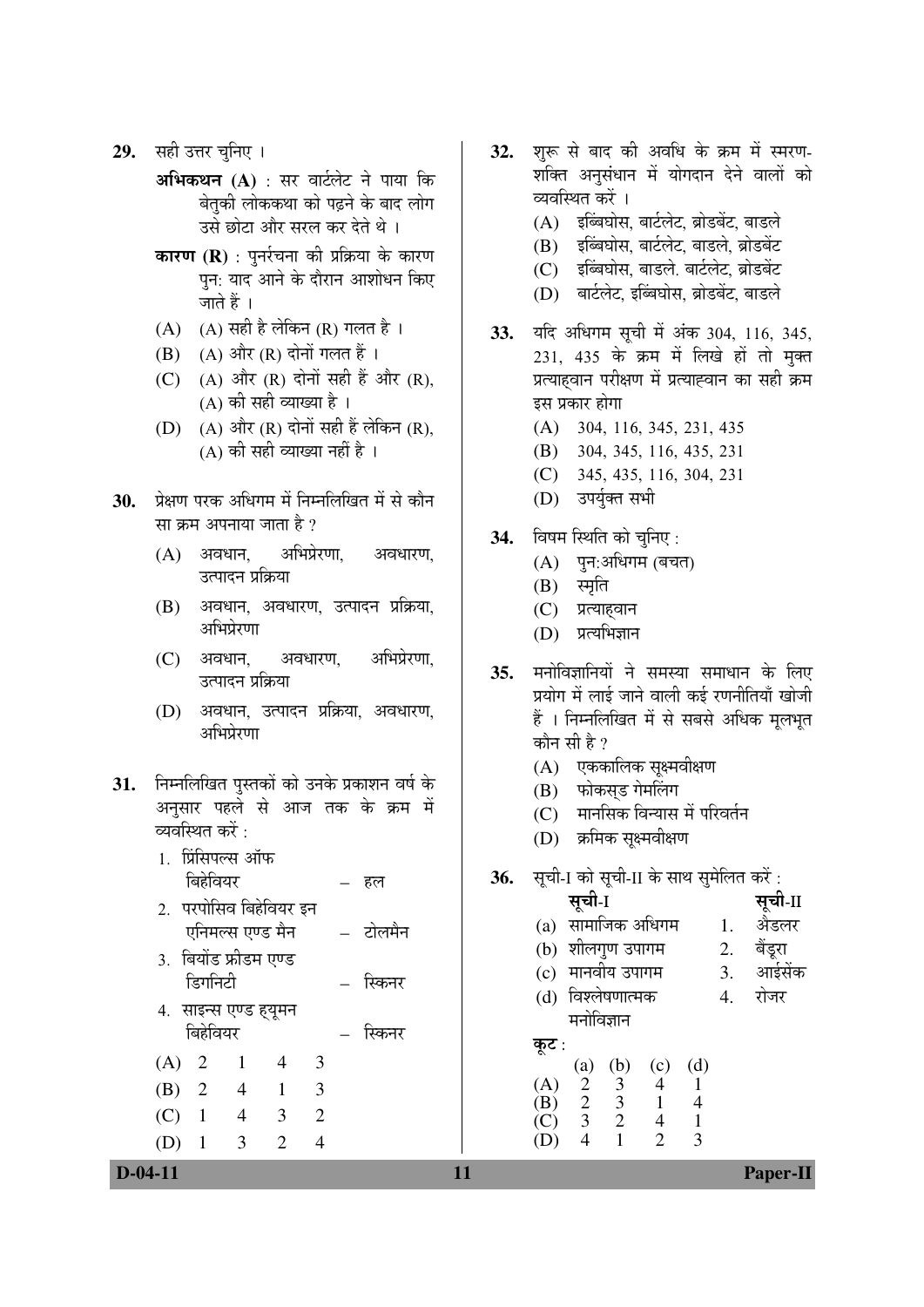- **29.** सही उत्तर चनिए ।
	- **अभिकथन (A)** : सर वार्टलेट ने पाया कि बेतकी लोककथा को पढ़ने के बाद लोग उसे छोटा और सरल कर देते थे ।
	- **कारण (R)** : पुनर्रचना की प्रक्रिया के कारण पन: याद आने के दौरान आशोधन किए जाते हैं ।
	- $(A)$   $(A)$  सही है लेकिन  $(R)$  गलत है ।
	- $(B)$   $(A)$  और  $(R)$  दोनों गलत हैं।
	- (C)  $(A)$  और  $(R)$  दोनों सही हैं और  $(R)$ ,  $(A)$  की सही व्याख्या है ।
	- $(D)$   $(A)$  और  $(R)$  दोनों सही हैं लेकिन  $(R)$ ,  $(A)$  की सही व्याख्या नहीं है ।
- 30. प्रेक्षण परक अधिगम में निम्नलिखित में से कौन सा क्रम अपनाया जाता है ?
	- $(A)$  अवधान, अभिप्रेरणा, अवधारण, उत्पादन प्रक्रिया
	- $(B)$  अवधान, अवधारण, उत्पादन प्रक्रिया, आभिप्रेरणा
	- (C) अवधान, अवधारण, अभिप्रेरणा, उत्पादन प्रक्रिया
	- (D) अवधान, उत्पादन प्रक्रिया, अवधारण, आभिप्रेरणा
- 31. निम्नलिखित पुस्तकों को उनके प्रकाशन वर्ष के अनुसार पहले से आज तक के क्रम में व्यवस्थित करें : $\,$

| 1. प्रिंसिपल्स ऑफ<br>बिहेवियर     |                  |              |   | हल       |
|-----------------------------------|------------------|--------------|---|----------|
| 2. परपोसिव बिहेवियर इन            |                  |              |   |          |
| 3. बियोंड फ्रीडम एण्ड             | एनिमल्स एण्ड मैन |              |   | – टोलमैन |
| डिगनिटी                           |                  |              |   | स्किनर   |
| 4. साइन्स एण्ड ह्यूमन<br>बिहेवियर |                  |              |   | स्किनर   |
| $(A)$ 2                           | 1                | 4            | 3 |          |
| (B) 2                             | $\overline{4}$   | $\mathbf{1}$ | 3 |          |
| $(C)$ 1                           | $\overline{4}$   | 3            | 2 |          |
| $\overline{1}$                    | 3                | 2            |   |          |

- 32. शुरू से बाद की अवधि के क्रम में स्मरण-शक्ति अनुसंधान में योगदान देने वालों को व्यवस्थित करें ।
	- $(A)$  इब्बिघोस, बार्टलेट, ब्रोडबेंट, बाडले
	- (B) इब्बिघोस, बार्टलेट, बाडले, ब्रोडबेंट
	- $(C)$  इब्बिघोस, बाडले, बार्टलेट, ब्रोडबेंट
	- (D) बार्टलेट, इब्बिघोस, ब्रोडबेंट, बाडले
- 33. यदि अधिगम सूची में अंक 304, 116, 345,  $231, 435$  के क्रम में लिखे हों तो मुक्त प्रत्याहवान परीक्षण में प्रत्याह्वान का सही क्रम इस प्रकार होगा
	- (A) 304, 116, 345, 231, 435
	- (B) 304, 345, 116, 435, 231
	- (C) 345, 435, 116, 304, 231
	- (D) उपर्युक्त सभी

## **34.** विषम स्थिति को चुनिए:

- $(A)$  पुन:अधिगम (बचत)
- (B) स्मृति
- (C) प्रत्याहवान
- (D) प्रत्यभिज्ञान
- **35.** मनोविज्ञानियों ने समस्या समाधान के लिए प्रयोग में लाई जाने वाली कई रणनीतियाँ खोजी हैं । निम्नलिखित में से सबसे अधिक मुलभुत कौन सी है ?
	- (A) एककालिक सूक्ष्मवीक्षण
	- (B) फोकसड गेमलिंग
	- (C) गानसिक विन्यास में परिवर्तन
	- (D) क्रमिक सुक्ष्मवीक्षण

 $(D)$  4 1 2 3

**36.** सूची-I को सूची-II के साथ सुमेलित करें:

|       | सूची-I                                                                                     |      |                   |     |    | सूची-II |
|-------|--------------------------------------------------------------------------------------------|------|-------------------|-----|----|---------|
|       |                                                                                            |      |                   |     |    |         |
|       |                                                                                            |      | (a) सामाजिक अधिगम |     |    | अैडलर   |
|       | (b) शीलगुण उपागम<br>2.                                                                     |      |                   |     |    | बैंडूरा |
|       | (c) मानवीय उपागम                                                                           |      |                   |     | 3. | आईसेंक  |
|       | (d) विश्लेषणात्मक                                                                          | रोजर |                   |     |    |         |
|       | मनोविज्ञान                                                                                 |      |                   |     |    |         |
| कूट : |                                                                                            |      |                   |     |    |         |
|       |                                                                                            |      | (c)               | (d) |    |         |
| (A)   |                                                                                            |      | $\overline{4}$    |     |    |         |
| (B)   |                                                                                            |      |                   | 4   |    |         |
|       | (a) (b)<br>$\begin{array}{ccc} & & (a) & (b) \\ 2 & 3 & \\ 2 & 3 & \\ 3 & 2 & \end{array}$ |      |                   |     |    |         |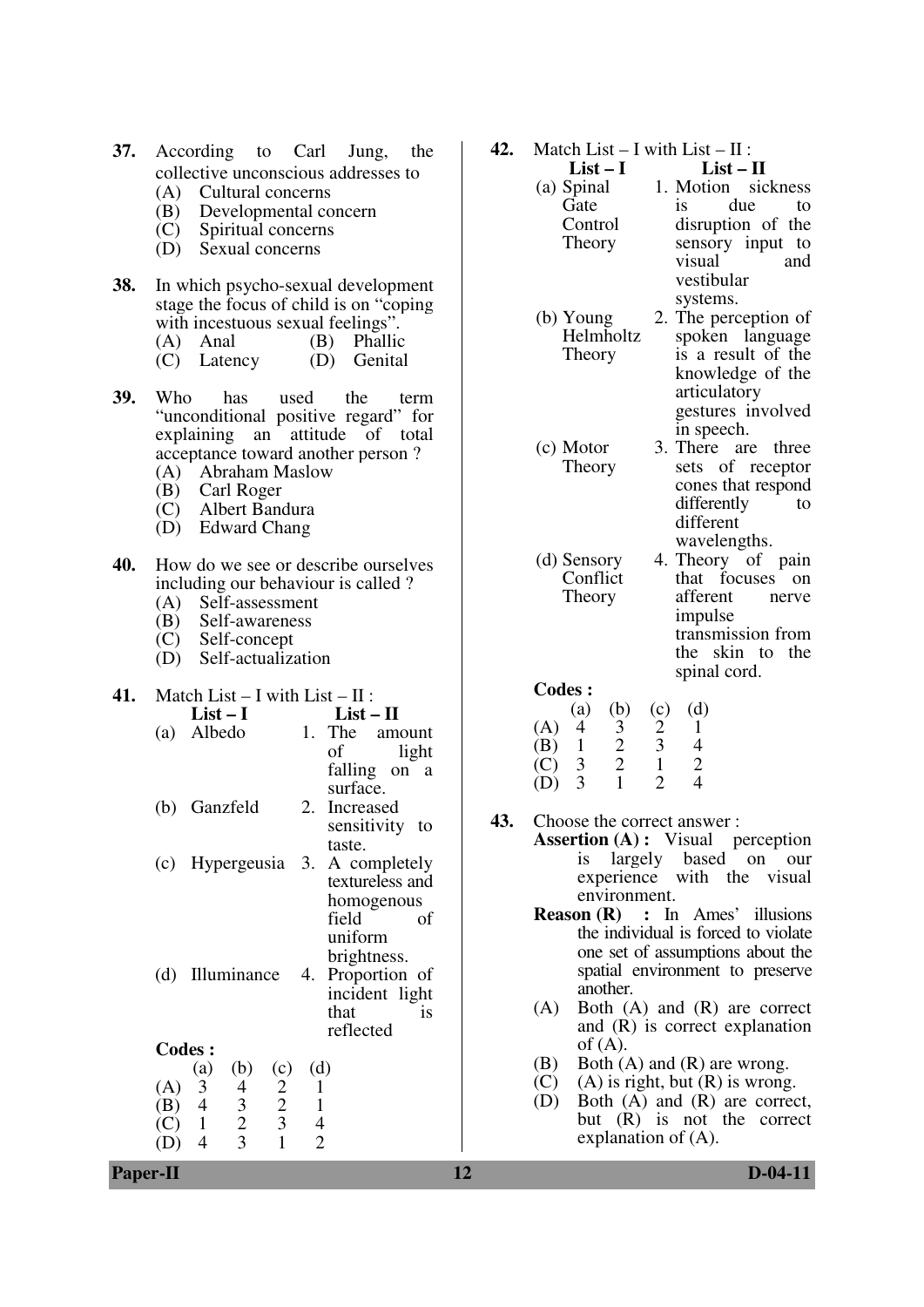| 37. According to Carl Jung, the     |  |  |
|-------------------------------------|--|--|
| collective unconscious addresses to |  |  |

- (A) Cultural concerns
- (B) Developmental concern
- (C) Spiritual concerns
- (D) Sexual concerns
- **38.** In which psycho-sexual development stage the focus of child is on "coping with incestuous sexual feelings".
	- (A) Anal (B) Phallic
	- (C) Latency (D) Genital
- **39.** Who has used the term "unconditional positive regard" for explaining an attitude of total acceptance toward another person ?
	- (A) Abraham Maslow
	- (B) Carl Roger
	- (C) Albert Bandura
	- (D) Edward Chang
- **40.** How do we see or describe ourselves including our behaviour is called ?<br>(A) Self-assessment
	- Self-assessment
	- (B) Self-awareness
	- (C) Self-concept
	- (D) Self-actualization

| 41. |     | Match List $- I$ with List $- II$ :                      |     |                                     |  |  |  |
|-----|-----|----------------------------------------------------------|-----|-------------------------------------|--|--|--|
|     |     | List – I                                                 |     | $List-II$                           |  |  |  |
|     | (a) | Albedo                                                   |     | 1. The<br>amount                    |  |  |  |
|     |     |                                                          |     | οf<br>light                         |  |  |  |
|     |     |                                                          |     | falling on a                        |  |  |  |
|     |     |                                                          |     | surface.                            |  |  |  |
|     | (b) | Ganzfeld                                                 |     | 2. Increased                        |  |  |  |
|     |     |                                                          |     | sensitivity to                      |  |  |  |
|     |     |                                                          |     | taste.                              |  |  |  |
|     | (c) | Hypergeusia 3.                                           |     | A completely                        |  |  |  |
|     |     |                                                          |     | textureless and                     |  |  |  |
|     |     |                                                          |     | homogenous                          |  |  |  |
|     |     |                                                          |     | field<br>οf                         |  |  |  |
|     |     |                                                          |     | uniform                             |  |  |  |
|     |     |                                                          |     | brightness.                         |  |  |  |
|     | (d) | Illuminance                                              |     | 4. Proportion of                    |  |  |  |
|     |     |                                                          |     | incident light<br>that<br><i>is</i> |  |  |  |
|     |     |                                                          |     | reflected                           |  |  |  |
|     |     | <b>Codes:</b>                                            |     |                                     |  |  |  |
|     |     | (c)<br>(a)<br>(b)                                        | (d) |                                     |  |  |  |
|     | (A) | $\mathfrak{Z}$                                           | 1   |                                     |  |  |  |
|     | (B) | $\overline{4}$                                           | 1   |                                     |  |  |  |
|     | C)  | $\frac{2}{2}$<br>3<br>$\frac{4}{3}$<br>2<br>$\mathbf{1}$ | 4   |                                     |  |  |  |

(D) 4 3 1 2

**42.** Match List – I with List – II :

| $List-I$   | $List - II$        |
|------------|--------------------|
| (a) Spinal | 1. Motion sickness |
| Gate       | due<br>İS.<br>to   |
| Control    | disruption of the  |
| Theory     | sensory input to   |
|            | visual<br>and      |
|            | vestibular         |
|            | systems.           |

(b) Young **Helmholtz** Theory 2. The perception of spoken language is a result of the knowledge of the articulatory gestures involved in speech.

(c) Motor Theory 3. There are three sets of receptor cones that respond differently to different wavelengths.

(d) Sensory Conflict Theory 4. Theory of pain that focuses on afferent nerve impulse transmission from the skin to the spinal cord.

**Codes :** 

|     | (a) | (b) | (c)           | (d) |
|-----|-----|-----|---------------|-----|
| (A) | 4   | 3   | $\mathcal{D}$ |     |
| (B) |     | 2   | 3             | 4   |
| (C) | 3   | 2   |               | 2   |
| (D) | 3   |     |               |     |

- **43.** Choose the correct answer :
	- **Assertion (A) :** Visual perception is largely based on our experience with the visual environment.
	- **Reason (R) :** In Ames' illusions the individual is forced to violate one set of assumptions about the spatial environment to preserve another.
	- (A) Both (A) and (R) are correct and (R) is correct explanation of  $(A)$ .
	- (B) Both (A) and (R) are wrong.
	- (C) (A) is right, but  $(R)$  is wrong.
	- (D) Both (A) and (R) are correct, but (R) is not the correct explanation of (A).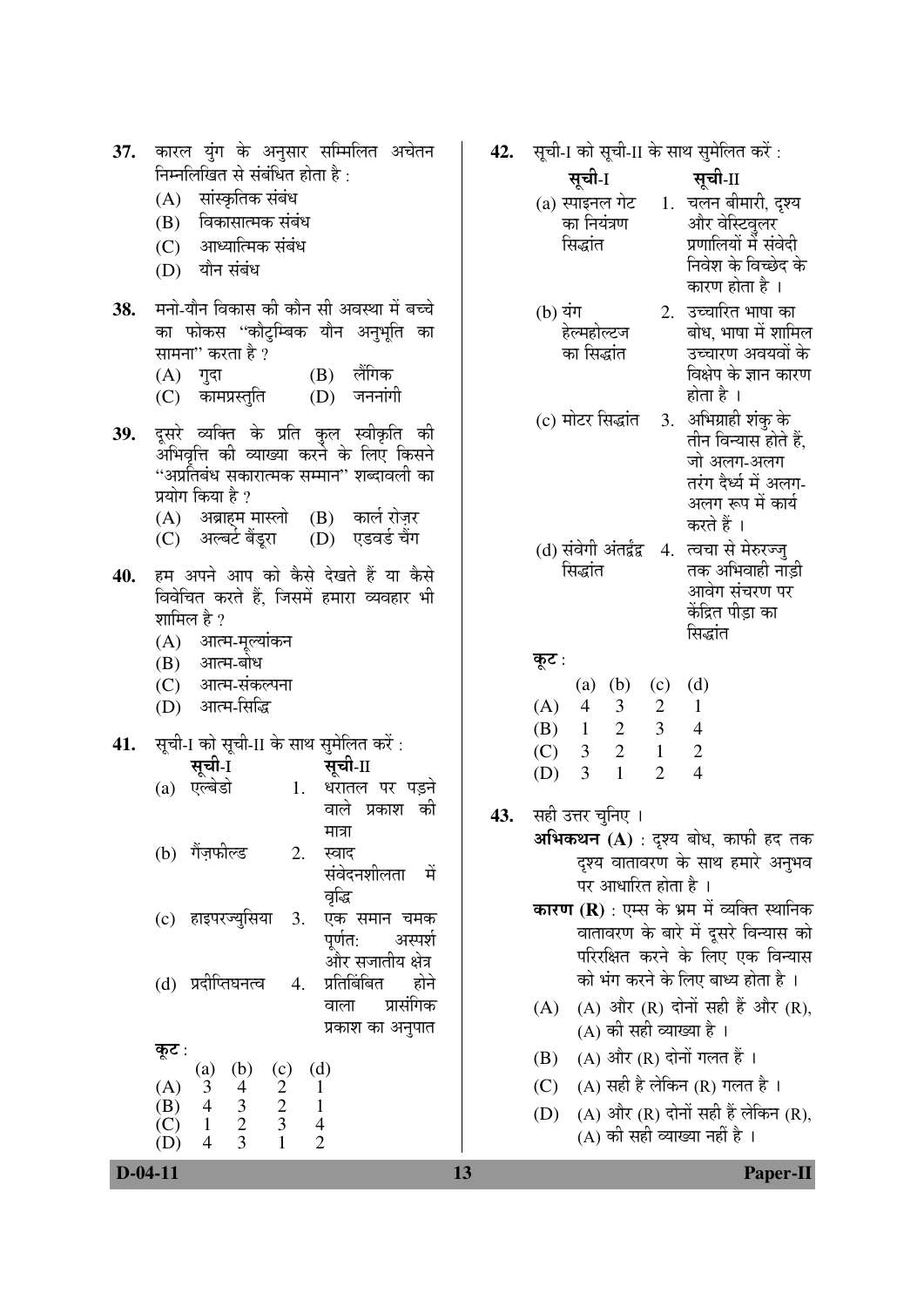| 37.       | कारल युंग के अनुसार सम्मिलित अचेतन                                                                                                                       | 42. | सूची-I को सूची-II के साथ सुमेलित करें :                                                                                                              |
|-----------|----------------------------------------------------------------------------------------------------------------------------------------------------------|-----|------------------------------------------------------------------------------------------------------------------------------------------------------|
|           | निम्नलिखित से संबंधित होता है:                                                                                                                           |     | सूची-I<br>सूची-II                                                                                                                                    |
|           | सांस्कृतिक संबंध<br>(A)                                                                                                                                  |     | (a) स्पाइनल गेट 1. चलन बीमारी, दृश्य                                                                                                                 |
|           | विकासात्मक संबंध<br>(B)                                                                                                                                  |     | और वेस्टिवुलर<br>का नियंत्रण                                                                                                                         |
|           | आध्यात्मिक संबंध<br>(C)                                                                                                                                  |     | प्रणालियों में संवेदी<br>सिद्धांत<br>निवेश के विच्छेद के                                                                                             |
|           | यौन संबंध<br>(D)                                                                                                                                         |     | कारण होता है ।                                                                                                                                       |
| 38.       | मनो-यौन विकास की कौन सी अवस्था में बच्चे                                                                                                                 |     | 2. उच्चारित भाषा का<br>(b) यंग                                                                                                                       |
|           | का फोकस ''कौटुम्बिक यौन अनुभूति का                                                                                                                       |     | बोध, भाषा में शामिल<br>हेल्महोल्टज                                                                                                                   |
|           | सामना'' करता है ?                                                                                                                                        |     | का सिद्धांत<br>उच्चारण अवयवों के                                                                                                                     |
|           | लैंगिक<br>$(A)$ गुदा<br>(B)                                                                                                                              |     | विक्षेप के ज्ञान कारण<br>होता है ।                                                                                                                   |
|           | जननांगी<br>कामप्रस्तुति<br>(D)<br>(C)                                                                                                                    |     |                                                                                                                                                      |
| 39.       | दूसूरे व्यक्ति के प्रति कुल स्वीकृति की                                                                                                                  |     | (c) मोटर सिद्धांत 3. अभिग्राही शंकु के<br>तीन विन्यास होते हैं,                                                                                      |
|           | अभिवृत्ति की व्याख्या करने के लिए किसने                                                                                                                  |     | जो अलग-अलग                                                                                                                                           |
|           | ''अप्रतिबंध सकारात्मक सम्मान'' शब्दावली का<br>प्रयोग किया है ?                                                                                           |     | तरंग देर्ध्य में अलग-                                                                                                                                |
|           | (A) अब्राहम मास्लो (B) कार्ल रोज़र                                                                                                                       |     | अलग रूप में कार्य                                                                                                                                    |
|           | एडवर्ड चैंग<br>(C) अल्बर्ट बैंड्ररा<br>(D)                                                                                                               |     | करते हैं ।                                                                                                                                           |
|           |                                                                                                                                                          |     | (d) संवेगी अंतर्द्वंद्व   4.  त्वचा से मेरुरज्जु<br>तक अभिवाही नाड़ी<br>सिद्धांत                                                                     |
| 40.       | हम अपने आप को कैसे देखते हैं या कैसे<br>विवेचित करते हैं, जिसमें हमारा व्यवहार भी                                                                        |     | आवेग संचरण पर                                                                                                                                        |
|           | शामिल है ?                                                                                                                                               |     | केंद्रित पीड़ा का                                                                                                                                    |
|           | आत्म-मूल्यांकन<br>(A)                                                                                                                                    |     | सिद्धांत                                                                                                                                             |
|           | (B) आत्म-बोध                                                                                                                                             |     | कूट :                                                                                                                                                |
|           | (C) आत्म-संकल्पना                                                                                                                                        |     | (b)<br>(d)<br>(a)<br>(c)                                                                                                                             |
|           | आत्म-सिद्धि<br>(D)                                                                                                                                       |     | $\overline{2}$<br>(A)<br>$\overline{4}$<br>$\mathfrak{Z}$<br>$\mathbf{1}$<br>$\mathbf{2}$<br>$\overline{3}$<br>(B)<br>$\overline{4}$<br>$\mathbf{1}$ |
| 41.       | सूची-I को सूची-II के साथ सुमेलित करें:                                                                                                                   |     | $\overline{2}$<br>$\mathbf{1}$<br>3 <sup>7</sup><br>$\mathbf{2}$<br>(C)                                                                              |
|           | सूची-I<br>सूची-II                                                                                                                                        |     | $\overline{2}$<br>$\overline{4}$<br>3<br>$\mathbf{1}$<br>(D)                                                                                         |
|           | धरातल पर पड़ने<br>एल्बेडो<br>1.<br>(a)                                                                                                                   |     |                                                                                                                                                      |
|           | वाले प्रकाश की<br>मात्रा                                                                                                                                 | 43. | सही उत्तर चुनिए ।                                                                                                                                    |
|           | (b) गैंज़फील्ड<br>2.<br>स्वाद                                                                                                                            |     | अभिकथन (A) : दृश्य बोध, काफी हद तक                                                                                                                   |
|           | संवेदनशीलता<br>में                                                                                                                                       |     | दृश्य वातावरण के साथ हमारे अनुभव<br>पर आधारित होता है ।                                                                                              |
|           | वृद्धि                                                                                                                                                   |     | <b>कारण (R)</b> : एम्स के भ्रम में व्यक्ति स्थानिक                                                                                                   |
|           | (c) हाइपरज्युसिया<br>एक समान चमक<br>3.<br>पूर्णत:<br>अस्पर्श                                                                                             |     | वातावरण के बारे में दूसरे विन्यास को                                                                                                                 |
|           | ओर सजातीय क्षेत्र                                                                                                                                        |     | परिरक्षित करने के लिए एक विन्यास                                                                                                                     |
|           | प्रतिबिंबित<br>(d) प्रदीप्तिघनत्व<br>होने<br>4.                                                                                                          |     | को भंग करने के लिए बाध्य होता है ।                                                                                                                   |
|           | प्रासंगिक<br>वाला                                                                                                                                        |     | (A) और (R) दोनों सही हैं और (R),<br>(A)                                                                                                              |
|           | प्रकाश का अनुपात                                                                                                                                         |     | (A) की सही व्याख्या है ।                                                                                                                             |
|           | कूट :<br>(d)<br>(b)<br>(c)<br>(a)                                                                                                                        |     | (A) और (R) दोनों गलत हैं ।<br>(B)                                                                                                                    |
|           | $\mathfrak{Z}$<br>(A)<br>1                                                                                                                               |     | (A) सही है लेकिन (R) गलत है।<br>(C)                                                                                                                  |
|           | $\begin{pmatrix} 4 \\ 3 \\ 2 \end{pmatrix}$<br>$\frac{2}{3}$<br>$\overline{\mathcal{A}}$<br>(B)<br>$\mathbf{1}$<br>$\overline{4}$<br>$\mathbf{1}$<br>(C) |     | (A) और (R) दोनों सही हैं लेकिन (R),<br>(D)                                                                                                           |
|           | 3<br>$\overline{2}$<br>$\overline{4}$<br>(D)                                                                                                             |     | (A) की सही व्याख्या नहीं है ।                                                                                                                        |
| $D-04-11$ |                                                                                                                                                          | 13  | Paper-II                                                                                                                                             |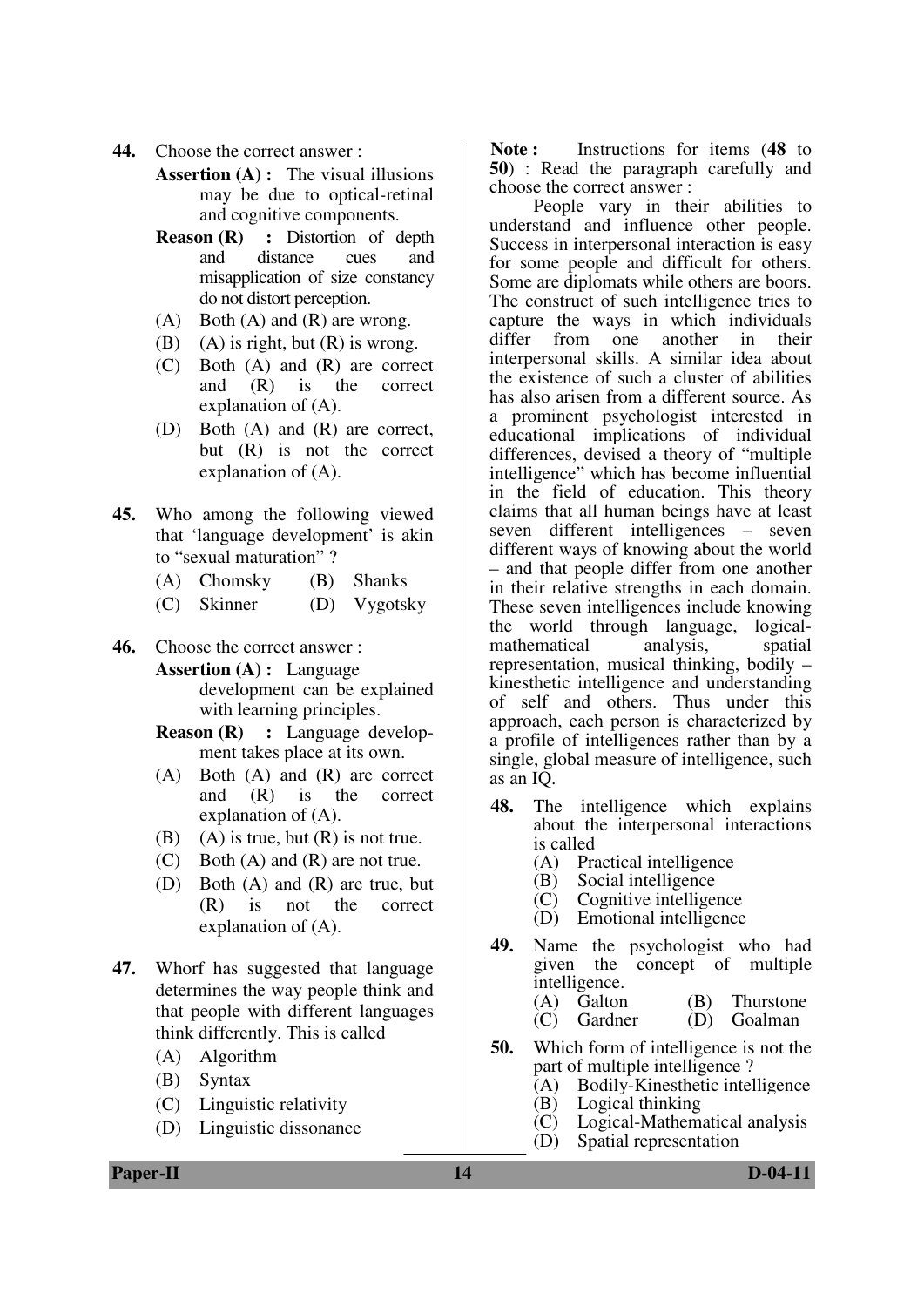- **44.** Choose the correct answer :
	- **Assertion (A) :** The visual illusions may be due to optical-retinal and cognitive components.
	- **Reason (R) :** Distortion of depth and distance cues and misapplication of size constancy do not distort perception.
	- $(A)$  Both  $(A)$  and  $(R)$  are wrong.
	- (B) (A) is right, but  $(R)$  is wrong.
	- (C) Both (A) and (R) are correct and (R) is the correct explanation of (A).
	- (D) Both (A) and (R) are correct, but (R) is not the correct explanation of (A).
- **45.** Who among the following viewed that 'language development' is akin to "sexual maturation" ?
	- (A) Chomsky (B) Shanks
	- (C) Skinner (D) Vygotsky
- **46.** Choose the correct answer :

**Assertion (A) :** Language development can be explained with learning principles.

- **Reason (R) :** Language development takes place at its own.
- (A) Both (A) and (R) are correct and (R) is the correct explanation of (A).
- (B) (A) is true, but  $(R)$  is not true.
- (C) Both (A) and (R) are not true.
- (D) Both (A) and (R) are true, but (R) is not the correct explanation of (A).
- **47.** Whorf has suggested that language determines the way people think and that people with different languages think differently. This is called
	- (A) Algorithm
	- (B) Syntax
	- (C) Linguistic relativity
	- (D) Linguistic dissonance

**Note :** Instructions for items (**48** to **50**) : Read the paragraph carefully and choose the correct answer :

 People vary in their abilities to understand and influence other people. Success in interpersonal interaction is easy for some people and difficult for others. Some are diplomats while others are boors. The construct of such intelligence tries to capture the ways in which individuals differ from one another in their interpersonal skills. A similar idea about the existence of such a cluster of abilities has also arisen from a different source. As a prominent psychologist interested in educational implications of individual differences, devised a theory of "multiple intelligence" which has become influential in the field of education. This theory claims that all human beings have at least seven different intelligences – seven different ways of knowing about the world – and that people differ from one another in their relative strengths in each domain. These seven intelligences include knowing the world through language, logicalmathematical analysis, spatial representation, musical thinking, bodily – kinesthetic intelligence and understanding of self and others. Thus under this approach, each person is characterized by a profile of intelligences rather than by a single, global measure of intelligence, such as an  $I\overline{O}$ .

- **48.** The intelligence which explains about the interpersonal interactions is called
	- (A) Practical intelligence
	- (B) Social intelligence
	- (C) Cognitive intelligence
	- (D) Emotional intelligence
- **49.** Name the psychologist who had given the concept of multiple intelligence.
	- (A) Galton (B) Thurstone
	- (C) Gardner (D) Goalman
- **50.** Which form of intelligence is not the part of multiple intelligence ?<br>(A) Bodily-Kinesthetic intel
	- (A) Bodily-Kinesthetic intelligence<br>(B) Logical thinking
	- (B) Logical thinking<br>(C) Logical-Mathema
	- Logical-Mathematical analysis
	- (D) Spatial representation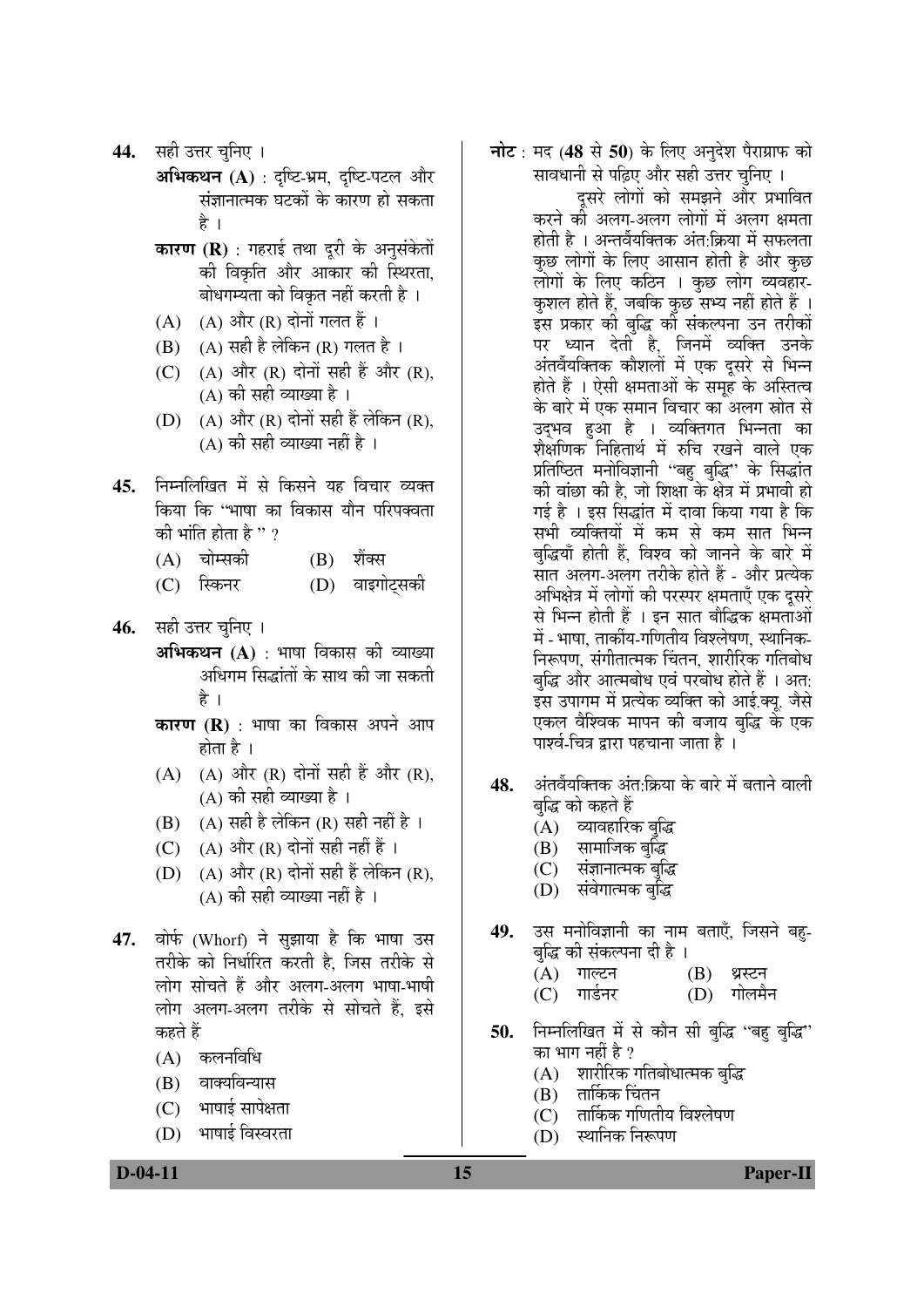- **44.** सही उत्तर चुनिए ।
	- **अभिकथन (A)** : दृष्टि-भ्रम, दृष्टि-पटल और संज्ञानात्मक घटकों के कारण हो सकता है ।
		- **कारण (R)** : गहराई तथा दूरी के अनुसंकेतों की विकृति और आकार की स्थिरता, बोधगम्यता को विकृत नहीं करती है ।
		- $(A)$   $(A)$  और  $(R)$  दोनों गलत हैं।
		- $(B)$   $(A)$  सही है लेकिन  $(R)$  गलत है ।
		- (C)  $(A)$  और  $(R)$  दोनों सही हैं और  $(R)$ , (A) की सही व्याख्या है ।
		- $(D)$   $(A)$  और  $(R)$  दोनों सही हैं लेकिन  $(R)$ ,  $(A)$  की सही व्याख्या नहीं है ।
- 45. निम्नलिखित में से किसने यह विचार व्यक्त किया कि ''भाषा का विकास यौन परिपक्वता की भांति होता है  $"\,?$ 
	- (A) चोम्सकी (B) शैंक्स
	- (C) स्किनर (D) वाइगोट्सकी
- 46. सही उत्तर चुनिए ।
	- **अभिकथन (A)** : भाषा विकास की व्याख्या अधिगम सिद्धांतों के साथ की जा सकती है ।
	- **कारण (R)** : भाषा का विकास अपने आप होता है $\perp$
	- $(A)$   $(A)$  और  $(R)$  दोनों सही हैं और  $(R)$ , (A) की सही व्याख्या है ।
	- $(B)$   $(A)$  सही है लेकिन  $(R)$  सही नहीं है ।
	- (C)  $(A)$  और  $(R)$  दोनों सही नहीं हैं।
	- (D)  $(A)$  और  $(R)$  दोनों सही हैं लेकिन  $(R)$ , (A) की सही व्याख्या नहीं है ।
- 47. वोर्फ (Whorf) ने सुझाया है कि भाषा उस तरीके को निर्धारित करती है. जिस तरीके से लोग सोचते हैं और अलग-अलग भाषा-भाषी लोग अलग-अलग तरीके से सोचते हैं, इसे कहते हैं
	- $(A)$  कलनविधि
	- (B) वाक्यविन्यास
	- $(C)$  भाषाई सापेक्षता
	- (D) भाषाई विस्वरता

**नोट** : मद (48 से 50) के लिए अनुदेश पैराग्राफ को सावधानी से पढ़िए और सही उत्तर चुनिए ।

दुसरे लोगों को समझने और प्रभावित करने को अलग-अलग लोगों में अलग क्षमता होती है । अन्तर्वेयक्तिक अंत:क्रिया में सफलता कुछ लोगों के लिए आसान होती है और कुछ लोगों के लिए कठिन**। कुछ लोग व्यवहा**र-कुशल होते हैं, जबकि कुछ सभ्य नहीं होते हैं । इस प्रकार की बुद्धि की संकल्पना उन तरीकों पर ध्यान देती है, जिनमें व्यक्ति उनके अंतर्वेयक्तिक कौशलों में एक दूसरे से भिन्न होते हैं । ऐसी क्षमताओं के समूह के अस्तित्व के बारे में एक समान विचार का अलग स्रोत से उद्भव हुआ है । व्यक्तिगत भिन्नता का शैक्षणिक निहितार्थ में रुचि रखने वाले एक प्रतिष्ठित मनोविज्ञानी "बहु बुद्धि" के सिद्धांत की वांछा की है, जो शिक्षा के क्षेत्र में प्रभावी हो गई है । इस सिद्धांत में दावा किया गया है कि सभी व्यक्तियों में कम से कम सात भिन्न बद्धियाँ होती हैं. विश्व को जानने के बारे में सात अलग-अलग तरीके होते हैं - और प्रत्येक अभिक्षेत्र में लोगों की परस्पर क्षमताएँ एक दूसरे से भिन्न होती हैं । इन सात बौद्धिक क्षमताओं में - भाषा. तार्कीय-गणितीय विश्लेषण, स्थानिक-निरूपण, संगीतात्मक चिंतन, शारीरिक गतिबोध बुद्धि और आत्मबोध एवं परबोध होते हैं । अत: इस उपागम में प्रत्येक व्यक्ति को आई.क्यू. जैसे एकल वैश्विक मापन की बजाय बद्धि के एक पार्श्व-चित्र द्रारा पहचाना जाता है ।

- 48. अंतर्वेयक्तिक अंत:क्रिया के बारे में बताने वाली बुद्धि को कहते हैं
	- $\mathrm{(\check{A})}$  व्यावहारिक बुद्धि
	- $(B)$  सामाजिक बुद्धि
	- (C) संज्ञानात्मक बुद्धि
	- (D) संवेगात्मक बुद्धि
- 49. उस मनोविज्ञानी का नाम बताएँ, जिसने बह-बद्धि की संकल्पना दी है ।
	- (A) ÝÖÖ»™ü®Ö (B) £ÖÐÙü®Ö
	- (C) गार्डनर (D) गोलमैन
- 50. निम्नलिखित में से कौन सी बुद्धि ''बह बुद्धि' का भाग नहीं है ?
	- (A) शारीरिक गतिबोधात्मक बुद्धि
	- $(B)$  तार्किक चिंतन
	- $(C)$  तार्किक गणितीय विश्लेषण
	- $(D)$  स्थानिक निरूपण

**D-04-11** Paper-II